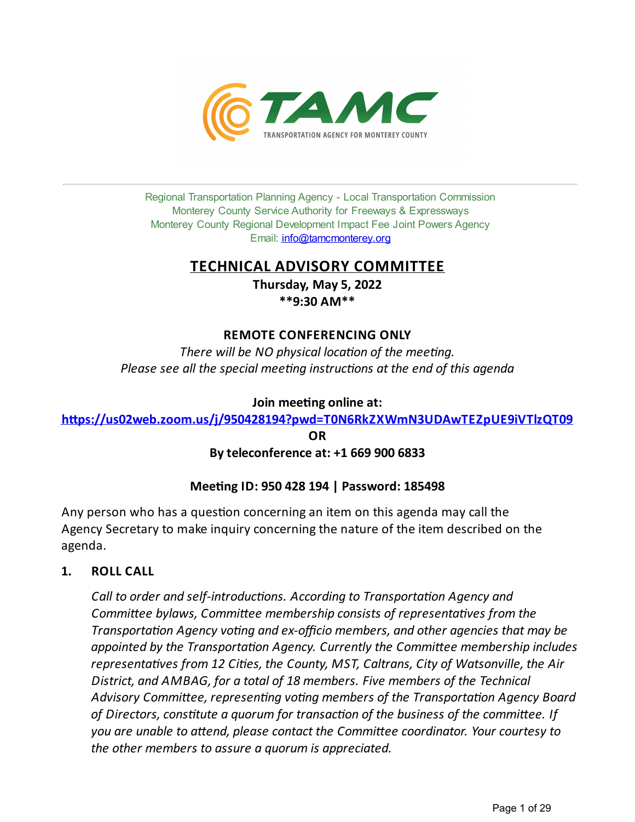

Regional Transportation Planning Agency - Local Transportation Commission Monterey County Service Authority for Freeways & Expressways Monterey County Regional Development Impact Fee Joint Powers Agency Email: *[info@tamcmonterey.org](file:///C:/Windows/TEMP/info@tamcmonterey.org)* 

# **TECHNICAL ADVISORY COMMITTEE**

**Thursday, May 5, 2022 \*\*9:30 AM\*\***

## **REMOTE CONFERENCING ONLY**

*There* will be NO physical location of the meeting. *Please see* all the *special* meeting *instructions* at the end of this agenda

## **Join** meeting online at:

**[h,ps://us02web.zoom.us/j/950428194?pwd=T0N6RkZXWmN3UDAwTEZpUE9iVTlzQT09](https://us02web.zoom.us/j/950428194?pwd=T0N6RkZXWmN3UDAwTEZpUE9iVTlzQT09)**

**OR**

# **Byteleconference at: +1 669 900 6833**

# **Meeting ID: 950 428 194 | Password: 185498**

Any person who has a question concerning an item on this agenda may call the Agency Secretary to make inquiry concerning the nature of the item described on the agenda.

# **1. ROLL CALL**

*Call* to *order* and *self-introductions. According to Transportation Agency and Commiee bylaws, Commiee membership consists of representaves from the Transportation Agency voting and ex-officio members*, *and other agencies that may be appointed by the Transportaon Agency. Currently the Commiee membership includes representaves from 12 Cies, the County, MST, Caltrans, City of Watsonville, the Air District, and AMBAG, for a total of 18 members. Five members of the Technical Advisory Commiee, represenng vong members of the Transportaon Agency Board of Directors,constute a quorum for transacon of the business of the commiee. If you are unable to aend, please contact the Commiee coordinator. Your courtesy to the other members to assure a quorum is appreciated.*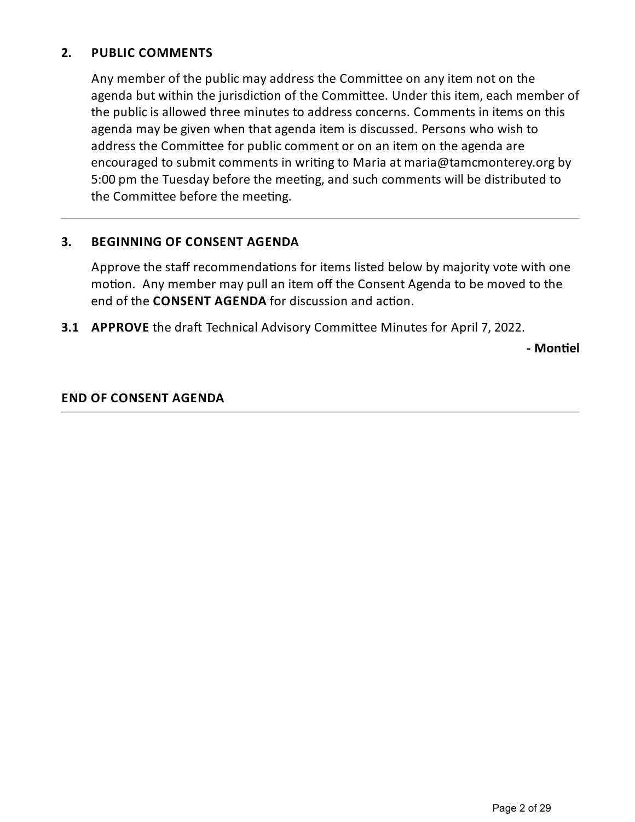# **2. PUBLIC COMMENTS**

Any member of the public may address the Committee on any item not on the agenda but within the jurisdiction of the Committee. Under this item, each member of the public is allowed three minutes to address concerns. Comments in items on this agenda may be given when that agenda item is discussed. Persons who wish to address the Committee for public comment or on an item on the agenda are encouraged to submit comments in writing to Maria at maria@tamcmonterey.org by 5:00 pm the Tuesday before the meeting, and such comments will be distributed to the Committee before the meeting.

## **3. BEGINNING OF CONSENT AGENDA**

Approve the staff recommendations for items listed below by majority vote with one motion. Any member may pull an item off the Consent Agenda to be moved to the end of the **CONSENT AGENDA** for discussion and action.

**3.1 APPROVE** the draft Technical Advisory Committee Minutes for April 7, 2022.

**- Mon(el**

## **END OF CONSENT AGENDA**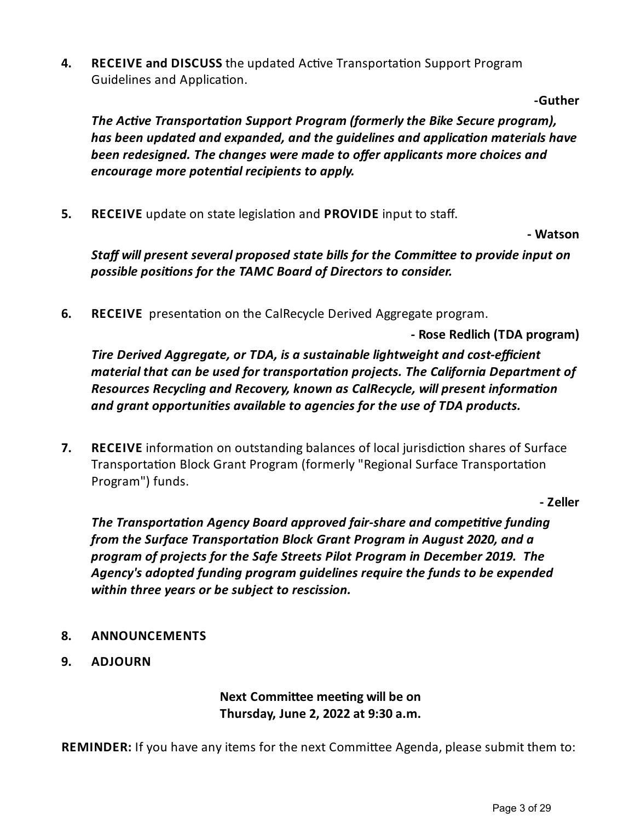**4. RECEIVE and DISCUSS** the updated Active Transportation Support Program Guidelines and Application.

**-Guther**

*The Active Transportation Support Program (formerly the Bike Secure program), has been updated and expanded, and the guidelines and applicaon materials have been redesigned. Thechanges were madeto offer applicants morechoices and encourage more potenal recipients to apply.*

**5. RECEIVE** update on state legislation and **PROVIDE** input to staff.

**- Watson**

*Staff will present several proposed state bills for the Commi%eeto provideinput on possible posions for the TAMC Board of Directors to consider.*

**6. RECEIVE** presentation on the CalRecycle Derived Aggregate program.

**- Rose Redlich (TDA program)**

*Tire Derived Aggregate, or TDA, is a sustainablelightweight and cost-efficient material that can be used for transportaon projects. The California Department of Resources Recycling* and *Recovery, known* as *CalRecycle, will present information and grant opportunies availableto agencies for the use of TDA products.*

**7. RECEIVE** information on outstanding balances of local jurisdiction shares of Surface Transportation Block Grant Program (formerly "Regional Surface Transportation Program") funds.

**- Zeller**

*The Transportation Agency Board approved fair-share and competitive funding from* the Surface Transportation Block Grant Program in August 2020, and a *program of projects for the Safe Streets Pilot Program in December 2019. The Agency's adopted funding program guidelines requirethefunds to beexpended within three years or be subject to rescission.* 

- **8. ANNOUNCEMENTS**
- **9. ADJOURN**

**Next Committee meeting will be on Thursday, June 2, 2022 at 9:30 a.m.**

**REMINDER:** If you have any items for the next Committee Agenda, please submit them to: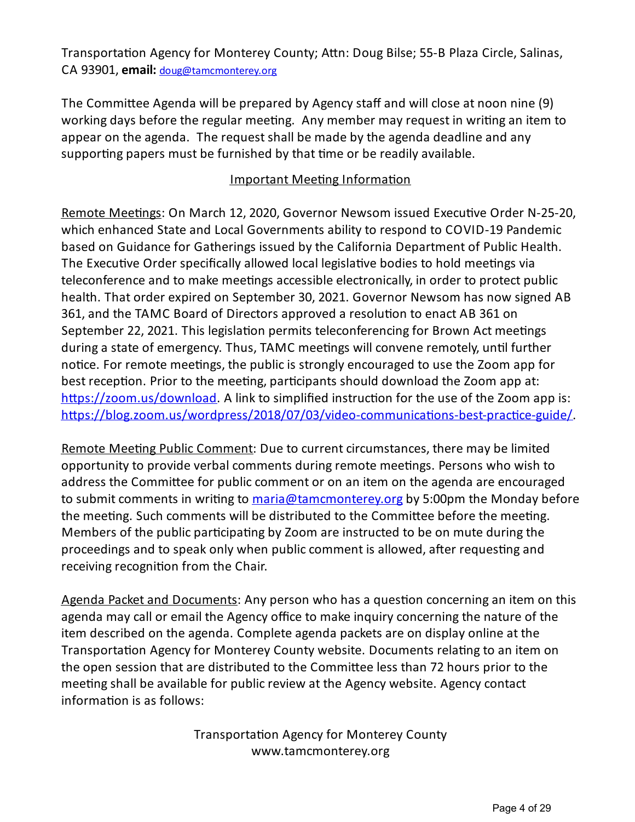Transportation Agency for Monterey County; Attn: Doug Bilse; 55-B Plaza Circle, Salinas, CA 93901, **email:** [doug@tamcmonterey.org](mailto:mike@tamcmonterey.org)

The Committee Agenda will be prepared by Agency staff and will close at noon nine (9) working days before the regular meeting. Any member may request in writing an item to appear on the agenda. The request shall be made by the agenda deadline and any supporting papers must be furnished by that time or be readily available.

# Important Meeting Information

Remote Meetings: On March 12, 2020, Governor Newsom issued Executive Order N-25-20, which enhanced State and Local Governments ability to respond to COVID-19 Pandemic based on Guidance for Gatherings issued by the California Department of Public Health. The Executive Order specifically allowed local legislative bodies to hold meetings via teleconference and to make meetings accessible electronically, in order to protect public health. That order expired on September 30, 2021. Governor Newsom has now signed AB 361, and the TAMC Board of Directors approved a resolution to enact AB 361 on September 22, 2021. This legislation permits teleconferencing for Brown Act meetings during a state of emergency. Thus, TAMC meetings will convene remotely, until further notice. For remote meetings, the public is strongly encouraged to use the Zoom app for best reception. Prior to the meeting, participants should download the Zoom app at: https://zoom.us/download. A link to simplified instruction for the use of the Zoom app is: https://blog.zoom.us/wordpress/2018/07/03/video-communications-best-practice-guide/

Remote Meeting Public Comment: Due to current circumstances, there may be limited opportunity to provide verbal comments during remote meetings. Persons who wish to address the Committee for public comment or on an item on the agenda are encouraged to submit comments in writing to <u>[maria@tamcmonterey.org](mailto:maria@tamcmonterey.org)</u> by 5:00pm the Monday before the meeting. Such comments will be distributed to the Committee before the meeting. Members of the public participating by Zoom are instructed to be on mute during the proceedings and to speak only when public comment is allowed, after requesting and receiving recognition from the Chair.

Agenda Packet and Documents: Any person who has a question concerning an item on this agenda may call or email the Agency office to make inquiry concerning the nature of the item described on the agenda. Complete agenda packets are on display online at the Transportation Agency for Monterey County website. Documents relating to an item on the open session that are distributed to the Committee less than 72 hours prior to the meeting shall be available for public review at the Agency website. Agency contact information is as follows:

> Transportation Agency for Monterey County www.tamcmonterey.org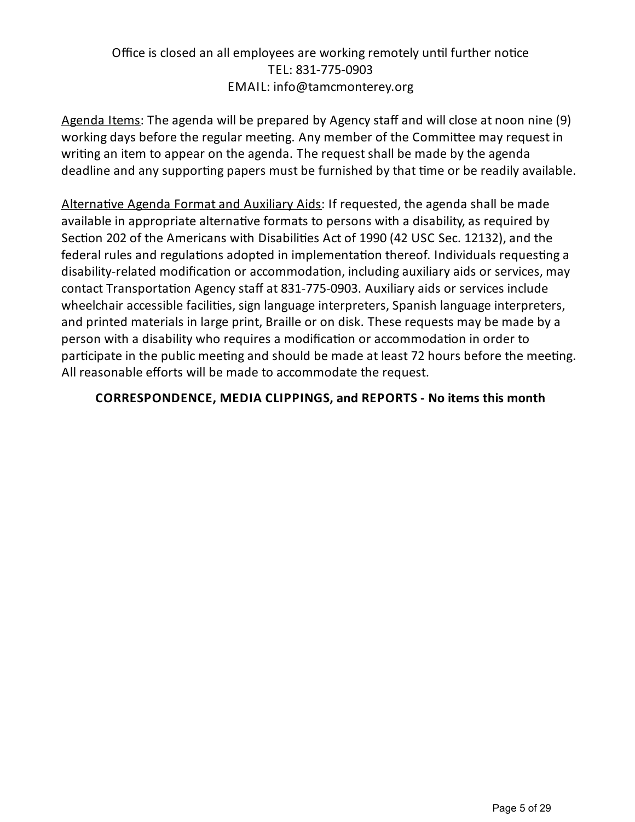# Office is closed an all employees are working remotely until further notice TEL: 831-775-0903 EMAIL: info@tamcmonterey.org

Agenda Items: The agenda will be prepared by Agency staff and will close at noon nine (9) working days before the regular meeting. Any member of the Committee may request in writing an item to appear on the agenda. The request shall be made by the agenda deadline and any supporting papers must be furnished by that time or be readily available.

Alternative Agenda Format and Auxiliary Aids: If requested, the agenda shall be made available in appropriate alternative formats to persons with a disability, as required by Section 202 of the Americans with Disabilities Act of 1990 (42 USC Sec. 12132), and the federal rules and regulations adopted in implementation thereof. Individuals requesting a disability-related modification or accommodation, including auxiliary aids or services, may contact Transportation Agency staff at 831-775-0903. Auxiliary aids or services include wheelchair accessible facilities, sign language interpreters, Spanish language interpreters, and printed materials in large print, Braille or on disk. These requests may be made bya person with a disability who requires a modification or accommodation in order to participate in the public meeting and should be made at least 72 hours before the meeting. All reasonable efforts will be made to accommodate the request.

# **CORRESPONDENCE, MEDIA CLIPPINGS, and REPORTS - No items this month**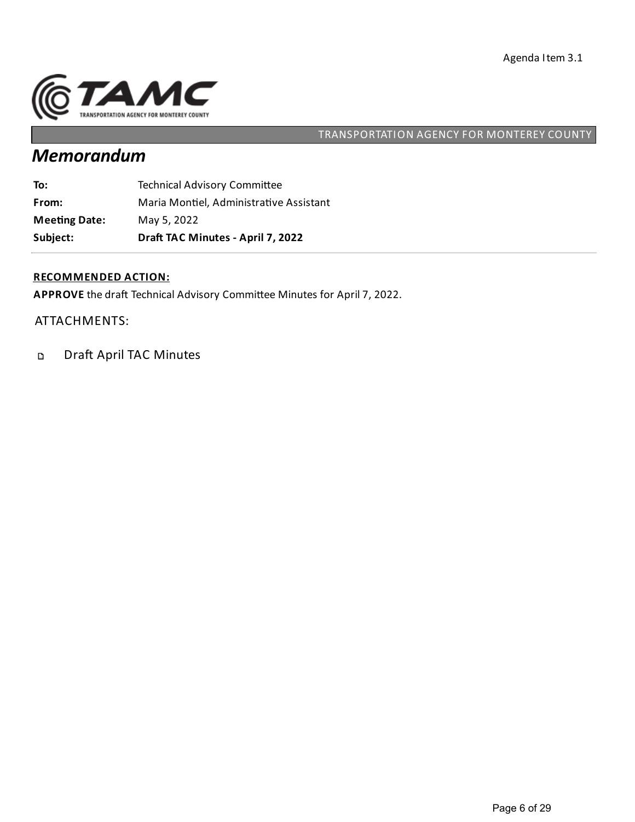

# *Memorandum*

| Subject:             | Draft TAC Minutes - April 7, 2022       |
|----------------------|-----------------------------------------|
| <b>Meeting Date:</b> | May 5, 2022                             |
| From:                | Maria Montiel, Administrative Assistant |
| To:                  | <b>Technical Advisory Committee</b>     |

## **RECOMMENDED ACTION:**

APPROVE the draft Technical Advisory Committee Minutes for April 7, 2022.

ATTACHMENTS:

Draft April TAC Minutes  $\mathbf{D}$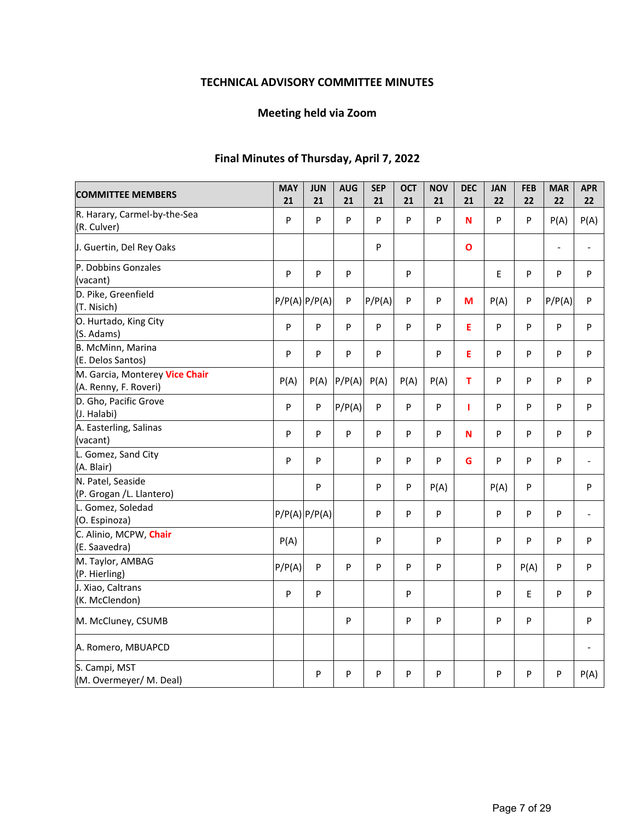## **TECHNICAL ADVISORY COMMITTEE MINUTES**

## **Meeting held via Zoom**

## **Final Minutes of Thursday, April 7, 2022**

| <b>COMMITTEE MEMBERS</b>                                | <b>MAY</b><br>21 | <b>JUN</b><br>21  | <b>AUG</b><br>21 | <b>SEP</b><br>21 | <b>OCT</b><br>21 | <b>NOV</b><br>21 | <b>DEC</b><br>21 | <b>JAN</b><br>22 | <b>FEB</b><br>22 | <b>MAR</b><br>22         | <b>APR</b><br>22 |
|---------------------------------------------------------|------------------|-------------------|------------------|------------------|------------------|------------------|------------------|------------------|------------------|--------------------------|------------------|
| R. Harary, Carmel-by-the-Sea<br>(R. Culver)             | P                | P                 | P                | P                | P                | P                | N                | P                | ${\sf P}$        | P(A)                     | P(A)             |
| J. Guertin, Del Rey Oaks                                |                  |                   |                  | P                |                  |                  | $\mathbf{o}$     |                  |                  | $\overline{\phantom{a}}$ | $\frac{1}{2}$    |
| P. Dobbins Gonzales<br>(vacant)                         | P                | P                 | P                |                  | P                |                  |                  | E                | P                | ${\sf P}$                | P                |
| D. Pike, Greenfield<br>(T. Nisich)                      |                  | $P/P(A)$ $P/P(A)$ | P                | P/P(A)           | P                | P                | M                | P(A)             | P                | P/P(A)                   | P                |
| O. Hurtado, King City<br>(S. Adams)                     | P                | P                 | P                | P                | P                | P                | E                | P                | $\mathsf{P}$     | $\sf P$                  | P                |
| B. McMinn, Marina<br>(E. Delos Santos)                  | P                | P                 | P                | P                |                  | P                | E                | P                | P                | P                        | P                |
| M. Garcia, Monterey Vice Chair<br>(A. Renny, F. Roveri) | P(A)             | P(A)              | P/P(A)           | P(A)             | P(A)             | P(A)             | T                | P                | P                | $\mathsf{P}$             | P                |
| D. Gho, Pacific Grove<br>(J. Halabi)                    | P                | P                 | P/P(A)           | P                | P                | P                | 1                | P                | P                | P                        | P                |
| A. Easterling, Salinas<br>(vacant)                      | P                | P                 | P                | P                | P                | P                | N                | P                | P                | P                        | P                |
| L. Gomez, Sand City<br>(A. Blair)                       | P                | P                 |                  | P                | P                | P                | G                | P                | P                | P                        |                  |
| N. Patel, Seaside<br>(P. Grogan /L. Llantero)           |                  | P                 |                  | P                | P                | P(A)             |                  | P(A)             | P                |                          | P                |
| L. Gomez, Soledad<br>(O. Espinoza)                      |                  | $P/P(A)$ $P/P(A)$ |                  | P                | P                | P                |                  | P                | P                | P                        | $\overline{a}$   |
| C. Alinio, MCPW, Chair<br>(E. Saavedra)                 | P(A)             |                   |                  | P                |                  | P                |                  | P                | P                | ${\sf P}$                | P                |
| M. Taylor, AMBAG<br>(P. Hierling)                       | P/P(A)           | P                 | P                | P                | P                | P                |                  | P                | P(A)             | P                        | P                |
| J. Xiao, Caltrans<br>(K. McClendon)                     | P                | P                 |                  |                  | P                |                  |                  | P                | E                | ${\sf P}$                | P                |
| M. McCluney, CSUMB                                      |                  |                   | P                |                  | P                | P                |                  | P                | ${\sf P}$        |                          | P                |
| A. Romero, MBUAPCD                                      |                  |                   |                  |                  |                  |                  |                  |                  |                  |                          |                  |
| S. Campi, MST<br>(M. Overmeyer/ M. Deal)                |                  | P                 | P                | P                | P                | P                |                  | P                | P                | P                        | P(A)             |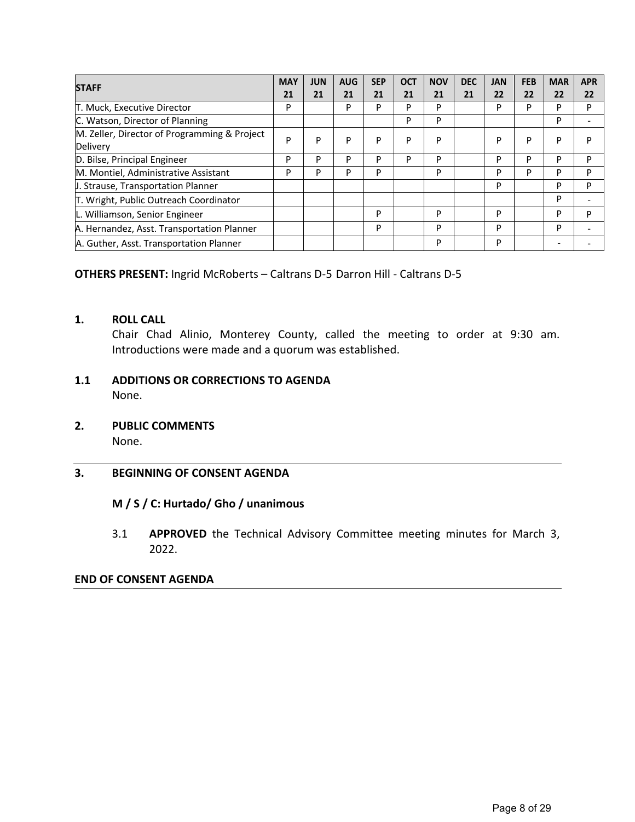|                                              | <b>MAY</b> | <b>JUN</b> | <b>AUG</b> | <b>SEP</b> | <b>OCT</b> | <b>NOV</b> | <b>DEC</b> | <b>JAN</b> | <b>FEB</b> | <b>MAR</b> | <b>APR</b> |
|----------------------------------------------|------------|------------|------------|------------|------------|------------|------------|------------|------------|------------|------------|
| <b>STAFF</b>                                 |            | 21         | 21         | 21         | 21         | 21         | 21         | 22         | 22         | 22         | 22         |
| T. Muck, Executive Director                  | P          |            | P          | P          | D          | P          |            | P          | P          | P          | P          |
| C. Watson, Director of Planning              |            |            |            |            | P          | P          |            |            |            | P          |            |
| M. Zeller, Director of Programming & Project | P          | P          | P          | P          | P          | P          |            | P          | P          | P          | P          |
| Delivery                                     |            |            |            |            |            |            |            |            |            |            |            |
| D. Bilse, Principal Engineer                 | P          | P          | P          | P          | P          | P          |            | P          | P          | P          | P          |
| M. Montiel, Administrative Assistant         | P          | P          | P          | P          |            | P          |            | P          | P          | P          | P          |
| J. Strause, Transportation Planner           |            |            |            |            |            |            |            | P          |            | P          | P          |
| T. Wright, Public Outreach Coordinator       |            |            |            |            |            |            |            |            |            | P          |            |
| L. Williamson, Senior Engineer               |            |            |            | P          |            | P          |            | P          |            | P          | P          |
| A. Hernandez, Asst. Transportation Planner   |            |            |            | P          |            | P          |            | P          |            | P          |            |
| A. Guther, Asst. Transportation Planner      |            |            |            |            |            | P          |            | P          |            |            |            |

## **OTHERS PRESENT:** Ingrid McRoberts – Caltrans D‐5 Darron Hill ‐ Caltrans D‐5

### **1. ROLL CALL**

Chair Chad Alinio, Monterey County, called the meeting to order at 9:30 am. Introductions were made and a quorum was established.

### **1.1 ADDITIONS OR CORRECTIONS TO AGENDA**  None.

# **2. PUBLIC COMMENTS**

None.

### **3. BEGINNING OF CONSENT AGENDA**

### **M / S / C: Hurtado/ Gho / unanimous**

3.1 **APPROVED**  the Technical Advisory Committee meeting minutes for March 3, 2022.

### **END OF CONSENT AGENDA**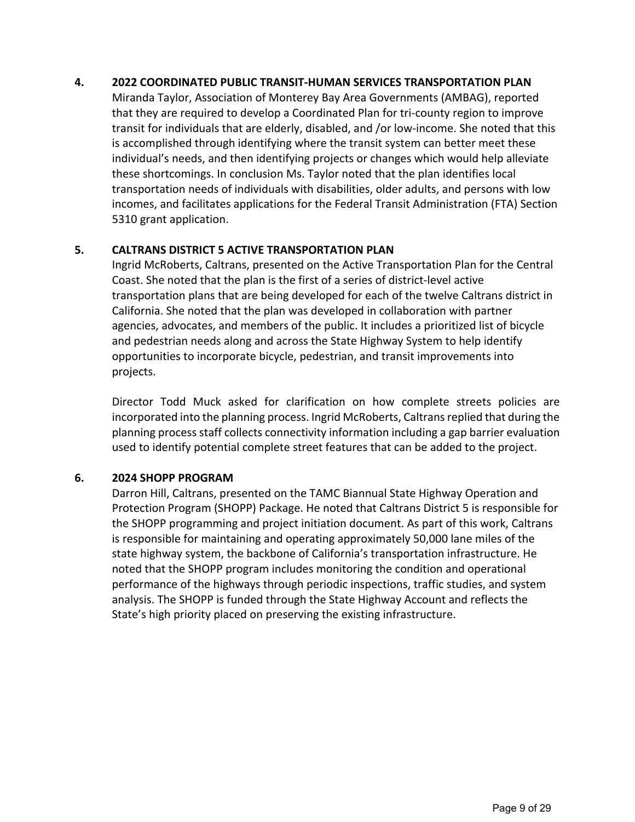### **4. 2022 COORDINATED PUBLIC TRANSIT‐HUMAN SERVICES TRANSPORTATION PLAN**

Miranda Taylor, Association of Monterey Bay Area Governments (AMBAG), reported that they are required to develop a Coordinated Plan for tri‐county region to improve transit for individuals that are elderly, disabled, and /or low‐income. She noted that this is accomplished through identifying where the transit system can better meet these individual's needs, and then identifying projects or changes which would help alleviate these shortcomings. In conclusion Ms. Taylor noted that the plan identifies local transportation needs of individuals with disabilities, older adults, and persons with low incomes, and facilitates applications for the Federal Transit Administration (FTA) Section 5310 grant application.

## **5. CALTRANS DISTRICT 5 ACTIVE TRANSPORTATION PLAN**

Ingrid McRoberts, Caltrans, presented on the Active Transportation Plan for the Central Coast. She noted that the plan is the first of a series of district‐level active transportation plans that are being developed for each of the twelve Caltrans district in California. She noted that the plan was developed in collaboration with partner agencies, advocates, and members of the public. It includes a prioritized list of bicycle and pedestrian needs along and across the State Highway System to help identify opportunities to incorporate bicycle, pedestrian, and transit improvements into projects.

Director Todd Muck asked for clarification on how complete streets policies are incorporated into the planning process. Ingrid McRoberts, Caltrans replied that during the planning process staff collects connectivity information including a gap barrier evaluation used to identify potential complete street features that can be added to the project.

## **6. 2024 SHOPP PROGRAM**

Darron Hill, Caltrans, presented on the TAMC Biannual State Highway Operation and Protection Program (SHOPP) Package. He noted that Caltrans District 5 is responsible for the SHOPP programming and project initiation document. As part of this work, Caltrans is responsible for maintaining and operating approximately 50,000 lane miles of the state highway system, the backbone of California's transportation infrastructure. He noted that the SHOPP program includes monitoring the condition and operational performance of the highways through periodic inspections, traffic studies, and system analysis. The SHOPP is funded through the State Highway Account and reflects the State's high priority placed on preserving the existing infrastructure.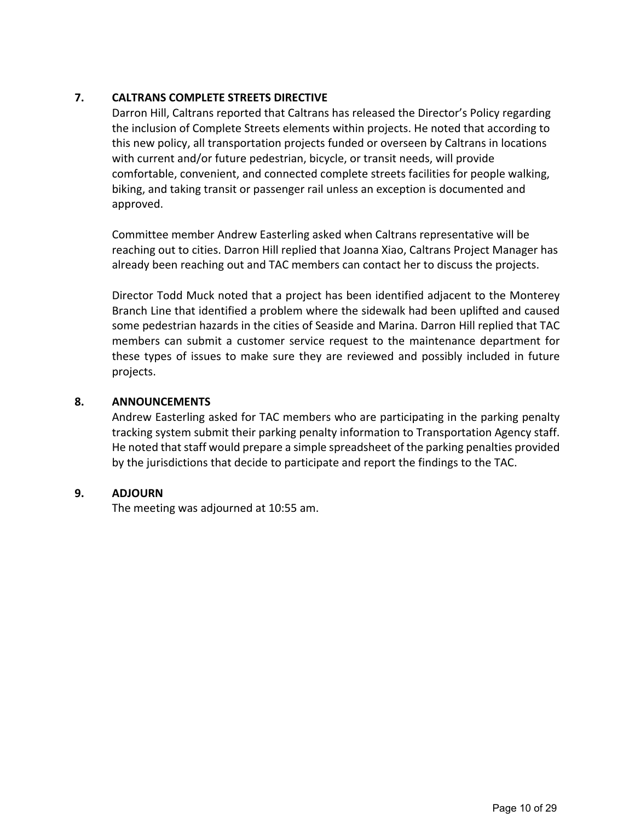## **7. CALTRANS COMPLETE STREETS DIRECTIVE**

Darron Hill, Caltrans reported that Caltrans has released the Director's Policy regarding the inclusion of Complete Streets elements within projects. He noted that according to this new policy, all transportation projects funded or overseen by Caltrans in locations with current and/or future pedestrian, bicycle, or transit needs, will provide comfortable, convenient, and connected complete streets facilities for people walking, biking, and taking transit or passenger rail unless an exception is documented and approved.

Committee member Andrew Easterling asked when Caltrans representative will be reaching out to cities. Darron Hill replied that Joanna Xiao, Caltrans Project Manager has already been reaching out and TAC members can contact her to discuss the projects.

Director Todd Muck noted that a project has been identified adjacent to the Monterey Branch Line that identified a problem where the sidewalk had been uplifted and caused some pedestrian hazards in the cities of Seaside and Marina. Darron Hill replied that TAC members can submit a customer service request to the maintenance department for these types of issues to make sure they are reviewed and possibly included in future projects.

## **8. ANNOUNCEMENTS**

Andrew Easterling asked for TAC members who are participating in the parking penalty tracking system submit their parking penalty information to Transportation Agency staff. He noted that staff would prepare a simple spreadsheet of the parking penalties provided by the jurisdictions that decide to participate and report the findings to the TAC.

### **9. ADJOURN**

The meeting was adjourned at 10:55 am.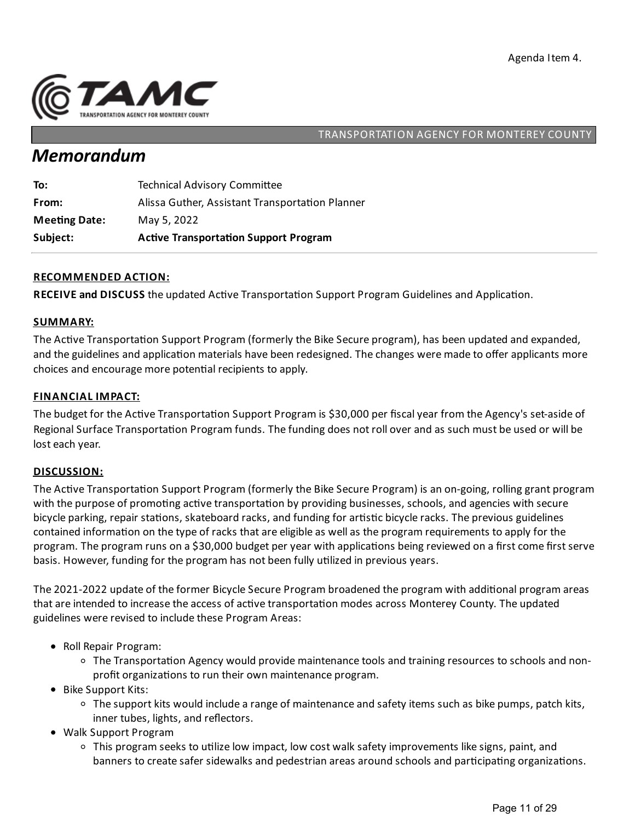

# *Memorandum*

| Subject:             | <b>Active Transportation Support Program</b>    |
|----------------------|-------------------------------------------------|
| <b>Meeting Date:</b> | May 5, 2022                                     |
| From:                | Alissa Guther, Assistant Transportation Planner |
| To:                  | <b>Technical Advisory Committee</b>             |

### **RECOMMENDED ACTION:**

**RECEIVE and DISCUSS** the updated Active Transportation Support Program Guidelines and Application.

### **SUMMARY:**

The Active Transportation Support Program (formerly the Bike Secure program), has been updated and expanded, and the guidelines and application materials have been redesigned. The changes were made to offer applicants more choices and encourage more potential recipients to apply.

### **FINANCIAL IMPACT:**

The budget for the Active Transportation Support Program is \$30,000 per fiscal year from the Agency's set-aside of Regional Surface Transportation Program funds. The funding does not roll over and as such must be used or will be lost each year.

### **DISCUSSION:**

The Active Transportation Support Program (formerly the Bike Secure Program) is an on-going, rolling grant program with the purpose of promoting active transportation by providing businesses, schools, and agencies with secure bicycle parking, repair stations, skateboard racks, and funding for artistic bicycle racks. The previous guidelines contained information on the type of racks that are eligible as well as the program requirements to apply for the program. The program runs on a \$30,000 budget per year with applications being reviewed on a first come first serve basis. However, funding for the program has not been fully utilized in previous years.

The 2021-2022 update of the former Bicycle Secure Program broadened the program with additional program areas that are intended to increase the access of active transportation modes across Monterey County. The updated guidelines were revised to include these Program Areas:

- Roll Repair Program:
	- $\circ$  The Transportation Agency would provide maintenance tools and training resources to schools and nonprofit organizations to run their own maintenance program.
- Bike Support Kits:
	- $\circ$  The support kits would include a range of maintenance and safety items such as bike pumps, patch kits, inner tubes, lights, and reflectors.
- Walk Support Program
	- $\circ$  This program seeks to utilize low impact, low cost walk safety improvements like signs, paint, and banners to create safer sidewalks and pedestrian areas around schools and participating organizations.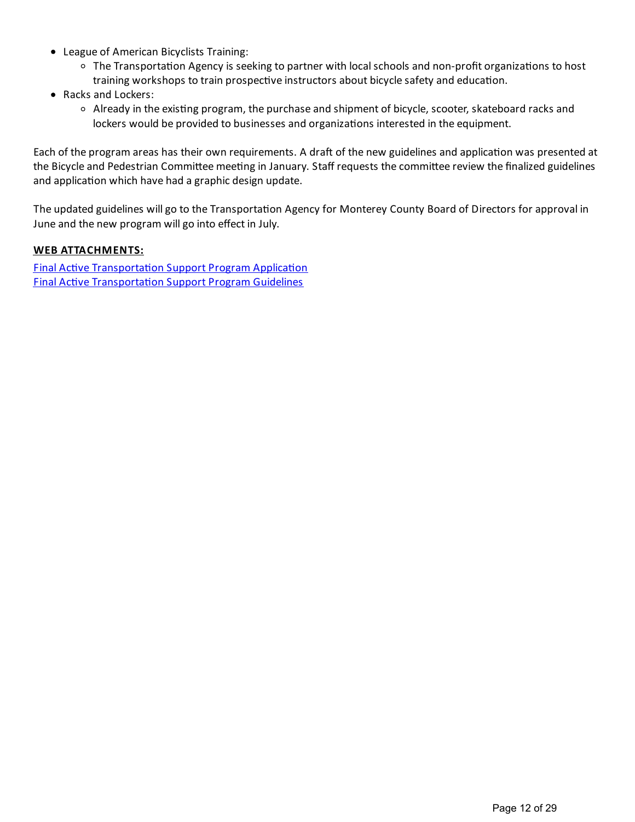- League of American Bicyclists Training:
	- $\circ$  The Transportation Agency is seeking to partner with local schools and non-profit organizations to host training workshops to train prospective instructors about bicycle safety and education.
- Racks and Lockers:
	- $\circ$  Already in the existing program, the purchase and shipment of bicycle, scooter, skateboard racks and lockers would be provided to businesses and organizations interested in the equipment.

Each of the program areas has their own requirements. A draft of the new guidelines and application was presented at the Bicycle and Pedestrian Committee meeting in January. Staff requests the committee review the finalized guidelines and application which have had a graphic design update.

The updated guidelines will go to the Transportation Agency for Monterey County Board of Directors for approval in June and the new program will go into effect in July.

## **WEB ATTACHMENTS:**

**Final Active Transportation Support Program Application Final Active Transportation Support Program Guidelines**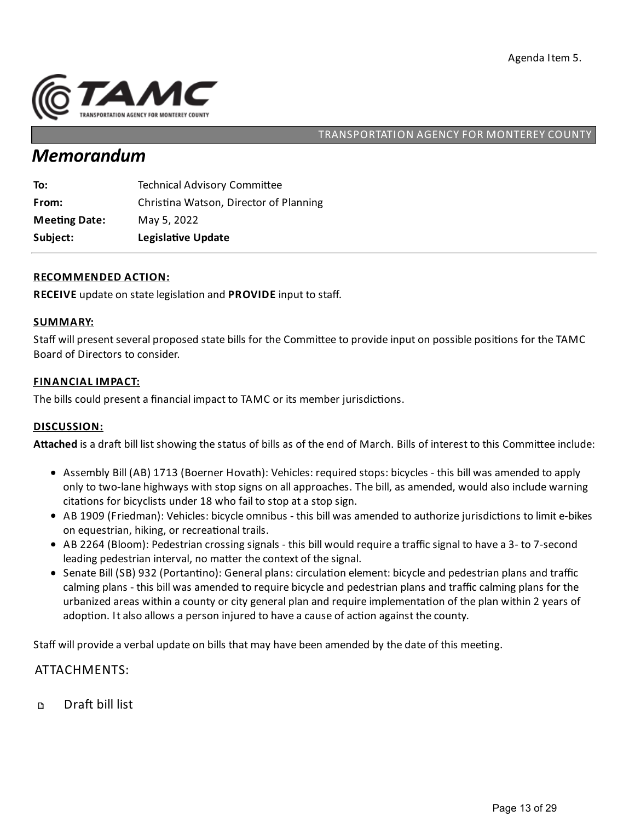

# *Memorandum*

| To:                  | <b>Technical Advisory Committee</b>    |
|----------------------|----------------------------------------|
| From:                | Christina Watson, Director of Planning |
| <b>Meeting Date:</b> | May 5, 2022                            |
| Subject:             | Legislative Update                     |

### **RECOMMENDED ACTION:**

**RECEIVE** update on state legislation and **PROVIDE** input to staff.

### **SUMMARY:**

Staff will present several proposed state bills for the Committee to provide input on possible positions for the TAMC Board of Directors to consider.

### **FINANCIAL IMPACT:**

The bills could present a financial impact to TAMC or its member jurisdictions.

### **DISCUSSION:**

Attached is a draft bill list showing the status of bills as of the end of March. Bills of interest to this Committee include:

- Assembly Bill (AB) 1713 (Boerner Hovath): Vehicles: required stops: bicycles this bill was amended to apply only to two-lane highways with stop signs on all approaches. The bill, as amended, would also include warning citations for bicyclists under 18 who fail to stop at a stop sign.
- AB 1909 (Friedman): Vehicles: bicycle omnibus this bill was amended to authorize jurisdictions to limit e-bikes on equestrian, hiking, or recreational trails.
- AB 2264 (Bloom): Pedestrian crossing signals this bill would require a traffic signal to have a 3- to 7-second leading pedestrian interval, no matter the context of the signal.
- Senate Bill (SB) 932 (Portantino): General plans: circulation element: bicycle and pedestrian plans and traffic calming plans - this bill was amended to require bicycle and pedestrian plans and traffic calming plans for the urbanized areas within a county or city general plan and require implementation of the plan within 2 years of adoption. It also allows a person injured to have a cause of action against the county.

Staff will provide a verbal update on bills that may have been amended by the date of this meeting.

### ATTACHMENTS:

Draft bill list  $\mathbf D$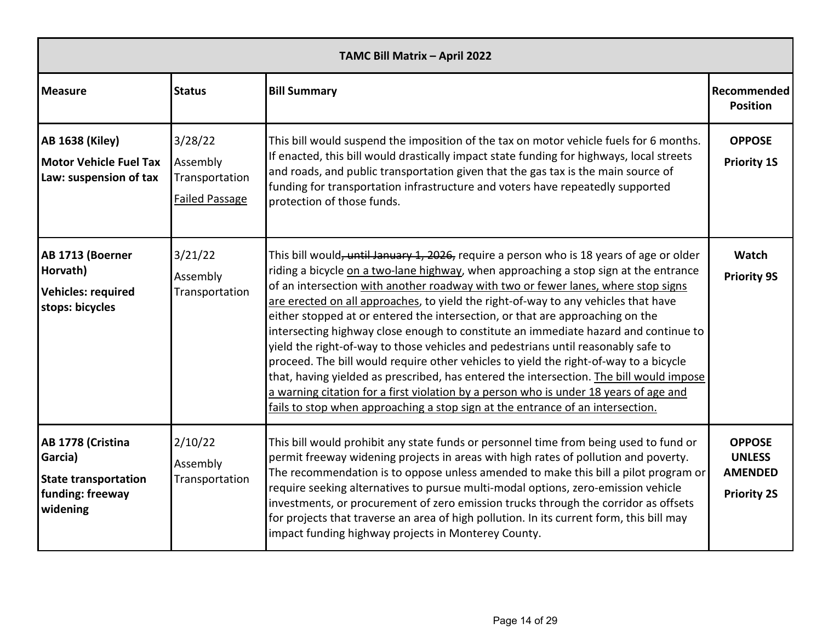|                                                                                             | TAMC Bill Matrix - April 2022                                  |                                                                                                                                                                                                                                                                                                                                                                                                                                                                                                                                                                                                                                                                                                                                                                                                                                                                                                                                                                                         |                                                                        |  |  |  |  |
|---------------------------------------------------------------------------------------------|----------------------------------------------------------------|-----------------------------------------------------------------------------------------------------------------------------------------------------------------------------------------------------------------------------------------------------------------------------------------------------------------------------------------------------------------------------------------------------------------------------------------------------------------------------------------------------------------------------------------------------------------------------------------------------------------------------------------------------------------------------------------------------------------------------------------------------------------------------------------------------------------------------------------------------------------------------------------------------------------------------------------------------------------------------------------|------------------------------------------------------------------------|--|--|--|--|
| <b>Measure</b>                                                                              | <b>Status</b>                                                  | <b>Bill Summary</b>                                                                                                                                                                                                                                                                                                                                                                                                                                                                                                                                                                                                                                                                                                                                                                                                                                                                                                                                                                     | Recommended<br><b>Position</b>                                         |  |  |  |  |
| <b>AB 1638 (Kiley)</b><br><b>Motor Vehicle Fuel Tax</b><br>Law: suspension of tax           | 3/28/22<br>Assembly<br>Transportation<br><b>Failed Passage</b> | This bill would suspend the imposition of the tax on motor vehicle fuels for 6 months.<br>If enacted, this bill would drastically impact state funding for highways, local streets<br>and roads, and public transportation given that the gas tax is the main source of<br>funding for transportation infrastructure and voters have repeatedly supported<br>protection of those funds.                                                                                                                                                                                                                                                                                                                                                                                                                                                                                                                                                                                                 | <b>OPPOSE</b><br><b>Priority 1S</b>                                    |  |  |  |  |
| AB 1713 (Boerner<br>Horvath)<br><b>Vehicles: required</b><br>stops: bicycles                | 3/21/22<br>Assembly<br>Transportation                          | This bill would, until January 1, 2026, require a person who is 18 years of age or older<br>riding a bicycle on a two-lane highway, when approaching a stop sign at the entrance<br>of an intersection with another roadway with two or fewer lanes, where stop signs<br>are erected on all approaches, to yield the right-of-way to any vehicles that have<br>either stopped at or entered the intersection, or that are approaching on the<br>intersecting highway close enough to constitute an immediate hazard and continue to<br>yield the right-of-way to those vehicles and pedestrians until reasonably safe to<br>proceed. The bill would require other vehicles to yield the right-of-way to a bicycle<br>that, having yielded as prescribed, has entered the intersection. The bill would impose<br>a warning citation for a first violation by a person who is under 18 years of age and<br>fails to stop when approaching a stop sign at the entrance of an intersection. | <b>Watch</b><br><b>Priority 9S</b>                                     |  |  |  |  |
| AB 1778 (Cristina<br>Garcia)<br><b>State transportation</b><br>funding: freeway<br>widening | 2/10/22<br>Assembly<br>Transportation                          | This bill would prohibit any state funds or personnel time from being used to fund or<br>permit freeway widening projects in areas with high rates of pollution and poverty.<br>The recommendation is to oppose unless amended to make this bill a pilot program or<br>require seeking alternatives to pursue multi-modal options, zero-emission vehicle<br>investments, or procurement of zero emission trucks through the corridor as offsets<br>for projects that traverse an area of high pollution. In its current form, this bill may<br>impact funding highway projects in Monterey County.                                                                                                                                                                                                                                                                                                                                                                                      | <b>OPPOSE</b><br><b>UNLESS</b><br><b>AMENDED</b><br><b>Priority 2S</b> |  |  |  |  |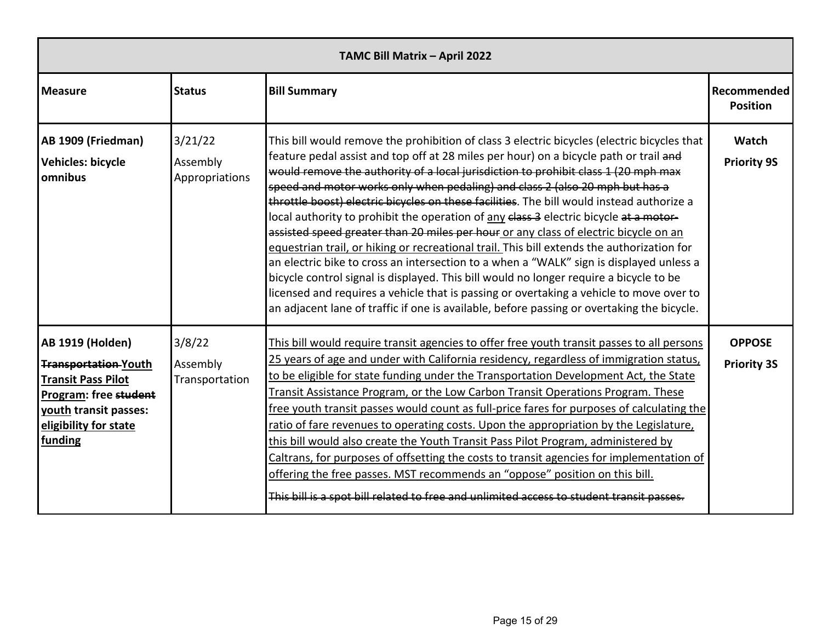| TAMC Bill Matrix - April 2022                                                                                                                                             |                                       |                                                                                                                                                                                                                                                                                                                                                                                                                                                                                                                                                                                                                                                                                                                                                                                                                                                                                                                                                                                                                                                                                                                      |                                     |  |  |  |
|---------------------------------------------------------------------------------------------------------------------------------------------------------------------------|---------------------------------------|----------------------------------------------------------------------------------------------------------------------------------------------------------------------------------------------------------------------------------------------------------------------------------------------------------------------------------------------------------------------------------------------------------------------------------------------------------------------------------------------------------------------------------------------------------------------------------------------------------------------------------------------------------------------------------------------------------------------------------------------------------------------------------------------------------------------------------------------------------------------------------------------------------------------------------------------------------------------------------------------------------------------------------------------------------------------------------------------------------------------|-------------------------------------|--|--|--|
| <b>Measure</b>                                                                                                                                                            | <b>Status</b>                         | <b>Bill Summary</b>                                                                                                                                                                                                                                                                                                                                                                                                                                                                                                                                                                                                                                                                                                                                                                                                                                                                                                                                                                                                                                                                                                  | Recommended<br><b>Position</b>      |  |  |  |
| AB 1909 (Friedman)<br><b>Vehicles: bicycle</b><br>omnibus                                                                                                                 | 3/21/22<br>Assembly<br>Appropriations | This bill would remove the prohibition of class 3 electric bicycles (electric bicycles that<br>feature pedal assist and top off at 28 miles per hour) on a bicycle path or trail and<br>would remove the authority of a local jurisdiction to prohibit class 1 (20 mph max<br>speed and motor works only when pedaling) and class 2 (also 20 mph but has a<br>throttle boost) electric bicycles on these facilities. The bill would instead authorize a<br>local authority to prohibit the operation of any class 3 electric bicycle at a motor-<br>assisted speed greater than 20 miles per hour or any class of electric bicycle on an<br>equestrian trail, or hiking or recreational trail. This bill extends the authorization for<br>an electric bike to cross an intersection to a when a "WALK" sign is displayed unless a<br>bicycle control signal is displayed. This bill would no longer require a bicycle to be<br>licensed and requires a vehicle that is passing or overtaking a vehicle to move over to<br>an adjacent lane of traffic if one is available, before passing or overtaking the bicycle. | Watch<br><b>Priority 9S</b>         |  |  |  |
| <b>AB 1919 (Holden)</b><br><b>Transportation-Youth</b><br><b>Transit Pass Pilot</b><br>Program: free student<br>youth transit passes:<br>eligibility for state<br>funding | 3/8/22<br>Assembly<br>Transportation  | This bill would require transit agencies to offer free youth transit passes to all persons<br>25 years of age and under with California residency, regardless of immigration status,<br>to be eligible for state funding under the Transportation Development Act, the State<br>Transit Assistance Program, or the Low Carbon Transit Operations Program. These<br>free youth transit passes would count as full-price fares for purposes of calculating the<br>ratio of fare revenues to operating costs. Upon the appropriation by the Legislature,<br>this bill would also create the Youth Transit Pass Pilot Program, administered by<br>Caltrans, for purposes of offsetting the costs to transit agencies for implementation of<br>offering the free passes. MST recommends an "oppose" position on this bill.<br>This bill is a spot bill related to free and unlimited access to student transit passes.                                                                                                                                                                                                    | <b>OPPOSE</b><br><b>Priority 3S</b> |  |  |  |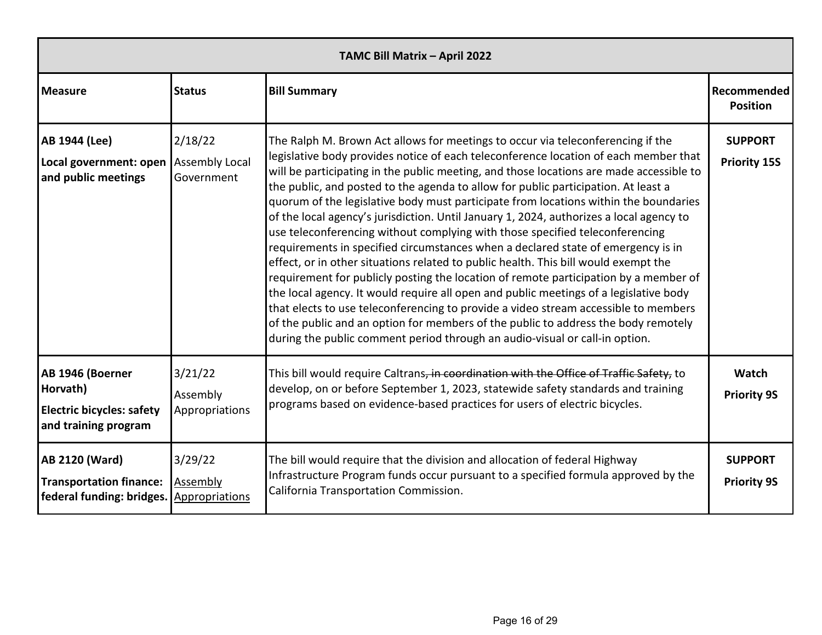| TAMC Bill Matrix - April 2022                                                            |                                                |                                                                                                                                                                                                                                                                                                                                                                                                                                                                                                                                                                                                                                                                                                                                                                                                                                                                                                                                                                                                                                                                                                                                                                                                                                                     |                                       |  |  |  |
|------------------------------------------------------------------------------------------|------------------------------------------------|-----------------------------------------------------------------------------------------------------------------------------------------------------------------------------------------------------------------------------------------------------------------------------------------------------------------------------------------------------------------------------------------------------------------------------------------------------------------------------------------------------------------------------------------------------------------------------------------------------------------------------------------------------------------------------------------------------------------------------------------------------------------------------------------------------------------------------------------------------------------------------------------------------------------------------------------------------------------------------------------------------------------------------------------------------------------------------------------------------------------------------------------------------------------------------------------------------------------------------------------------------|---------------------------------------|--|--|--|
| <b>Measure</b>                                                                           | <b>Status</b>                                  | <b>Bill Summary</b>                                                                                                                                                                                                                                                                                                                                                                                                                                                                                                                                                                                                                                                                                                                                                                                                                                                                                                                                                                                                                                                                                                                                                                                                                                 | Recommended<br><b>Position</b>        |  |  |  |
| AB 1944 (Lee)<br>Local government: open<br>and public meetings                           | 2/18/22<br><b>Assembly Local</b><br>Government | The Ralph M. Brown Act allows for meetings to occur via teleconferencing if the<br>legislative body provides notice of each teleconference location of each member that<br>will be participating in the public meeting, and those locations are made accessible to<br>the public, and posted to the agenda to allow for public participation. At least a<br>quorum of the legislative body must participate from locations within the boundaries<br>of the local agency's jurisdiction. Until January 1, 2024, authorizes a local agency to<br>use teleconferencing without complying with those specified teleconferencing<br>requirements in specified circumstances when a declared state of emergency is in<br>effect, or in other situations related to public health. This bill would exempt the<br>requirement for publicly posting the location of remote participation by a member of<br>the local agency. It would require all open and public meetings of a legislative body<br>that elects to use teleconferencing to provide a video stream accessible to members<br>of the public and an option for members of the public to address the body remotely<br>during the public comment period through an audio-visual or call-in option. | <b>SUPPORT</b><br><b>Priority 15S</b> |  |  |  |
| AB 1946 (Boerner<br>Horvath)<br><b>Electric bicycles: safety</b><br>and training program | 3/21/22<br>Assembly<br>Appropriations          | This bill would require Caltrans, in coordination with the Office of Traffic Safety, to<br>develop, on or before September 1, 2023, statewide safety standards and training<br>programs based on evidence-based practices for users of electric bicycles.                                                                                                                                                                                                                                                                                                                                                                                                                                                                                                                                                                                                                                                                                                                                                                                                                                                                                                                                                                                           | Watch<br><b>Priority 9S</b>           |  |  |  |
| <b>AB 2120 (Ward)</b><br><b>Transportation finance:</b><br>federal funding: bridges.     | 3/29/22<br>Assembly<br><b>Appropriations</b>   | The bill would require that the division and allocation of federal Highway<br>Infrastructure Program funds occur pursuant to a specified formula approved by the<br>California Transportation Commission.                                                                                                                                                                                                                                                                                                                                                                                                                                                                                                                                                                                                                                                                                                                                                                                                                                                                                                                                                                                                                                           | <b>SUPPORT</b><br><b>Priority 9S</b>  |  |  |  |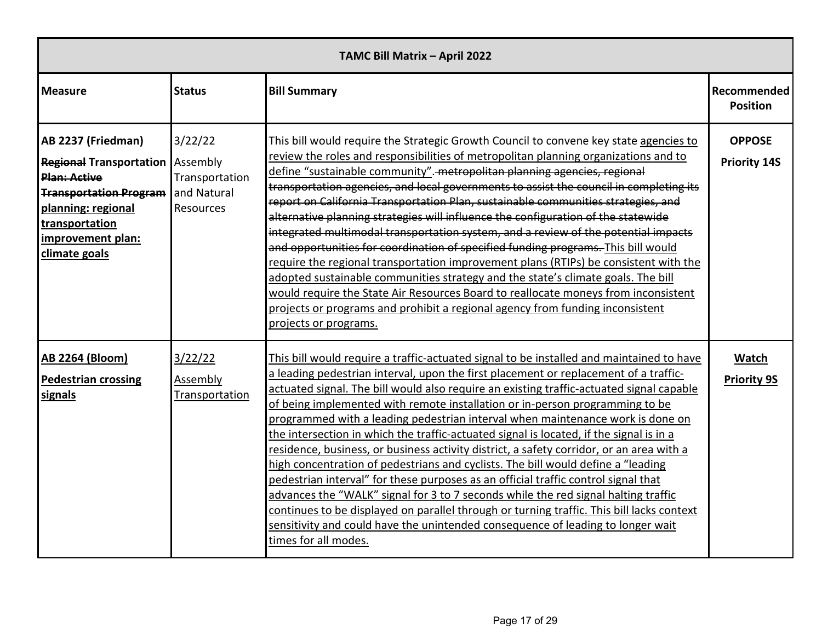| TAMC Bill Matrix - April 2022                                                                                                                                                                         |                                                       |                                                                                                                                                                                                                                                                                                                                                                                                                                                                                                                                                                                                                                                                                                                                                                                                                                                                                                                                                                                                                                                                                                               |                                      |  |  |  |  |
|-------------------------------------------------------------------------------------------------------------------------------------------------------------------------------------------------------|-------------------------------------------------------|---------------------------------------------------------------------------------------------------------------------------------------------------------------------------------------------------------------------------------------------------------------------------------------------------------------------------------------------------------------------------------------------------------------------------------------------------------------------------------------------------------------------------------------------------------------------------------------------------------------------------------------------------------------------------------------------------------------------------------------------------------------------------------------------------------------------------------------------------------------------------------------------------------------------------------------------------------------------------------------------------------------------------------------------------------------------------------------------------------------|--------------------------------------|--|--|--|--|
| <b>Measure</b>                                                                                                                                                                                        | <b>Status</b>                                         | <b>Bill Summary</b>                                                                                                                                                                                                                                                                                                                                                                                                                                                                                                                                                                                                                                                                                                                                                                                                                                                                                                                                                                                                                                                                                           | Recommended<br><b>Position</b>       |  |  |  |  |
| AB 2237 (Friedman)<br><b>Regional Transportation   Assembly</b><br><b>Plan: Active</b><br><b>Transportation Program</b><br>planning: regional<br>transportation<br>improvement plan:<br>climate goals | 3/22/22<br>Transportation<br>and Natural<br>Resources | This bill would require the Strategic Growth Council to convene key state agencies to<br>review the roles and responsibilities of metropolitan planning organizations and to<br>define "sustainable community". metropolitan planning agencies, regional<br>transportation agencies, and local governments to assist the council in completing its<br>report on California Transportation Plan, sustainable communities strategies, and<br>alternative planning strategies will influence the configuration of the statewide<br>integrated multimodal transportation system, and a review of the potential impacts<br>and opportunities for coordination of specified funding programs. This bill would<br>require the regional transportation improvement plans (RTIPs) be consistent with the<br>adopted sustainable communities strategy and the state's climate goals. The bill<br>would require the State Air Resources Board to reallocate moneys from inconsistent<br>projects or programs and prohibit a regional agency from funding inconsistent<br>projects or programs.                           | <b>OPPOSE</b><br><b>Priority 14S</b> |  |  |  |  |
| <b>AB 2264 (Bloom)</b><br><b>Pedestrian crossing</b><br>signals                                                                                                                                       | 3/22/22<br>Assembly<br>Transportation                 | This bill would require a traffic-actuated signal to be installed and maintained to have<br>a leading pedestrian interval, upon the first placement or replacement of a traffic-<br>actuated signal. The bill would also require an existing traffic-actuated signal capable<br>of being implemented with remote installation or in-person programming to be<br>programmed with a leading pedestrian interval when maintenance work is done on<br>the intersection in which the traffic-actuated signal is located, if the signal is in a<br>residence, business, or business activity district, a safety corridor, or an area with a<br>high concentration of pedestrians and cyclists. The bill would define a "leading<br>pedestrian interval" for these purposes as an official traffic control signal that<br>advances the "WALK" signal for 3 to 7 seconds while the red signal halting traffic<br>continues to be displayed on parallel through or turning traffic. This bill lacks context<br>sensitivity and could have the unintended consequence of leading to longer wait<br>times for all modes. | Watch<br><b>Priority 9S</b>          |  |  |  |  |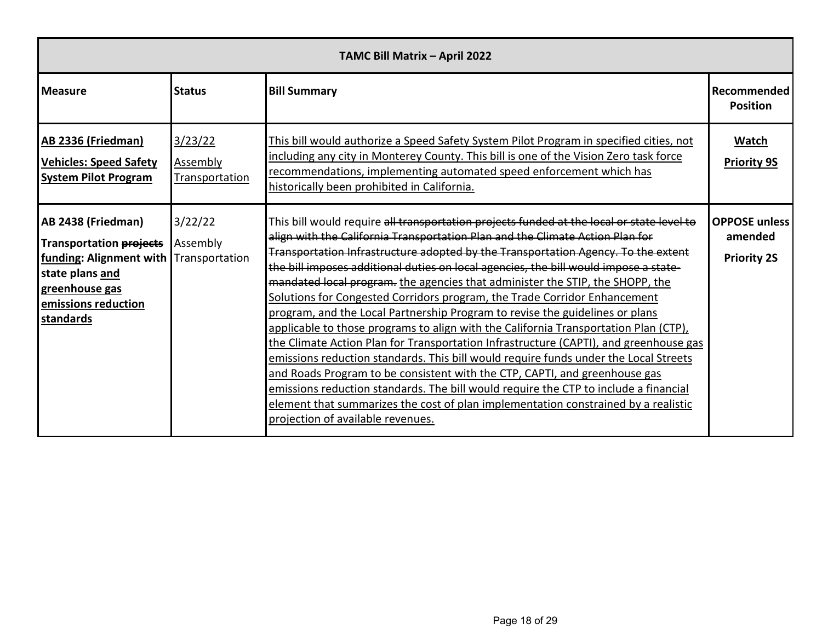| TAMC Bill Matrix - April 2022                                                                                                                                           |                                       |                                                                                                                                                                                                                                                                                                                                                                                                                                                                                                                                                                                                                                                                                                                                                                                                                                                                                                                                                                                                                                                                                                                                                                                 |                                                       |  |  |  |  |
|-------------------------------------------------------------------------------------------------------------------------------------------------------------------------|---------------------------------------|---------------------------------------------------------------------------------------------------------------------------------------------------------------------------------------------------------------------------------------------------------------------------------------------------------------------------------------------------------------------------------------------------------------------------------------------------------------------------------------------------------------------------------------------------------------------------------------------------------------------------------------------------------------------------------------------------------------------------------------------------------------------------------------------------------------------------------------------------------------------------------------------------------------------------------------------------------------------------------------------------------------------------------------------------------------------------------------------------------------------------------------------------------------------------------|-------------------------------------------------------|--|--|--|--|
| <b>Measure</b>                                                                                                                                                          | <b>Status</b>                         | <b>Bill Summary</b>                                                                                                                                                                                                                                                                                                                                                                                                                                                                                                                                                                                                                                                                                                                                                                                                                                                                                                                                                                                                                                                                                                                                                             | Recommended<br><b>Position</b>                        |  |  |  |  |
| <b>AB 2336 (Friedman)</b><br><b>Vehicles: Speed Safety</b><br><b>System Pilot Program</b>                                                                               | 3/23/22<br>Assembly<br>Transportation | This bill would authorize a Speed Safety System Pilot Program in specified cities, not<br>including any city in Monterey County. This bill is one of the Vision Zero task force<br>recommendations, implementing automated speed enforcement which has<br>historically been prohibited in California.                                                                                                                                                                                                                                                                                                                                                                                                                                                                                                                                                                                                                                                                                                                                                                                                                                                                           | Watch<br><b>Priority 9S</b>                           |  |  |  |  |
| AB 2438 (Friedman)<br><b>Transportation projects</b><br>funding: Alignment with Transportation<br>state plans and<br>greenhouse gas<br>emissions reduction<br>standards | 3/22/22<br>Assembly                   | This bill would require all transportation projects funded at the local or state level to<br>align with the California Transportation Plan and the Climate Action Plan for<br>Transportation Infrastructure adopted by the Transportation Agency. To the extent<br>the bill imposes additional duties on local agencies, the bill would impose a state-<br>mandated local program. the agencies that administer the STIP, the SHOPP, the<br>Solutions for Congested Corridors program, the Trade Corridor Enhancement<br>program, and the Local Partnership Program to revise the guidelines or plans<br>applicable to those programs to align with the California Transportation Plan (CTP),<br>the Climate Action Plan for Transportation Infrastructure (CAPTI), and greenhouse gas<br>emissions reduction standards. This bill would require funds under the Local Streets<br>and Roads Program to be consistent with the CTP, CAPTI, and greenhouse gas<br>emissions reduction standards. The bill would require the CTP to include a financial<br>element that summarizes the cost of plan implementation constrained by a realistic<br>projection of available revenues. | <b>OPPOSE unless</b><br>amended<br><b>Priority 2S</b> |  |  |  |  |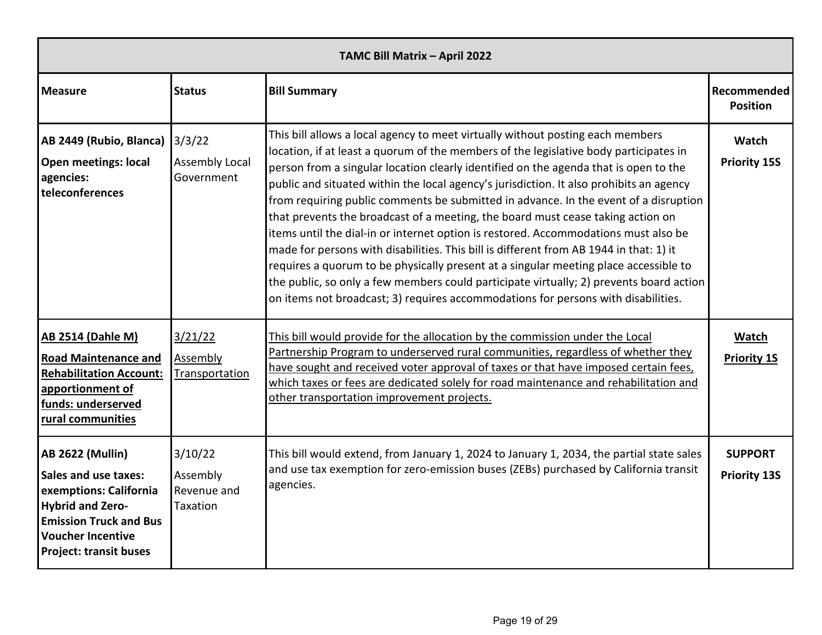| TAMC Bill Matrix - April 2022                                                                                                                                                                      |                                                |                                                                                                                                                                                                                                                                                                                                                                                                                                                                                                                                                                                                                                                                                                                                                                                                                                                                                                                                                                                                |                                       |  |  |  |  |
|----------------------------------------------------------------------------------------------------------------------------------------------------------------------------------------------------|------------------------------------------------|------------------------------------------------------------------------------------------------------------------------------------------------------------------------------------------------------------------------------------------------------------------------------------------------------------------------------------------------------------------------------------------------------------------------------------------------------------------------------------------------------------------------------------------------------------------------------------------------------------------------------------------------------------------------------------------------------------------------------------------------------------------------------------------------------------------------------------------------------------------------------------------------------------------------------------------------------------------------------------------------|---------------------------------------|--|--|--|--|
| <b>Measure</b>                                                                                                                                                                                     | <b>Status</b>                                  | <b>Bill Summary</b>                                                                                                                                                                                                                                                                                                                                                                                                                                                                                                                                                                                                                                                                                                                                                                                                                                                                                                                                                                            | Recommended<br><b>Position</b>        |  |  |  |  |
| AB 2449 (Rubio, Blanca)<br><b>Open meetings: local</b><br>agencies:<br>teleconferences                                                                                                             | 3/3/22<br><b>Assembly Local</b><br>Government  | This bill allows a local agency to meet virtually without posting each members<br>location, if at least a quorum of the members of the legislative body participates in<br>person from a singular location clearly identified on the agenda that is open to the<br>public and situated within the local agency's jurisdiction. It also prohibits an agency<br>from requiring public comments be submitted in advance. In the event of a disruption<br>that prevents the broadcast of a meeting, the board must cease taking action on<br>items until the dial-in or internet option is restored. Accommodations must also be<br>made for persons with disabilities. This bill is different from AB 1944 in that: 1) it<br>requires a quorum to be physically present at a singular meeting place accessible to<br>the public, so only a few members could participate virtually; 2) prevents board action<br>on items not broadcast; 3) requires accommodations for persons with disabilities. | Watch<br><b>Priority 15S</b>          |  |  |  |  |
| <b>AB 2514 (Dahle M)</b><br><b>Road Maintenance and</b><br><b>Rehabilitation Account:</b><br>apportionment of<br>funds: underserved<br>rural communities                                           | 3/21/22<br>Assembly<br>Transportation          | This bill would provide for the allocation by the commission under the Local<br>Partnership Program to underserved rural communities, regardless of whether they<br>have sought and received voter approval of taxes or that have imposed certain fees,<br>which taxes or fees are dedicated solely for road maintenance and rehabilitation and<br>other transportation improvement projects.                                                                                                                                                                                                                                                                                                                                                                                                                                                                                                                                                                                                  | Watch<br><b>Priority 1S</b>           |  |  |  |  |
| <b>AB 2622 (Mullin)</b><br>Sales and use taxes:<br>exemptions: California<br><b>Hybrid and Zero-</b><br><b>Emission Truck and Bus</b><br><b>Voucher Incentive</b><br><b>Project: transit buses</b> | 3/10/22<br>Assembly<br>Revenue and<br>Taxation | This bill would extend, from January 1, 2024 to January 1, 2034, the partial state sales<br>and use tax exemption for zero-emission buses (ZEBs) purchased by California transit<br>agencies.                                                                                                                                                                                                                                                                                                                                                                                                                                                                                                                                                                                                                                                                                                                                                                                                  | <b>SUPPORT</b><br><b>Priority 13S</b> |  |  |  |  |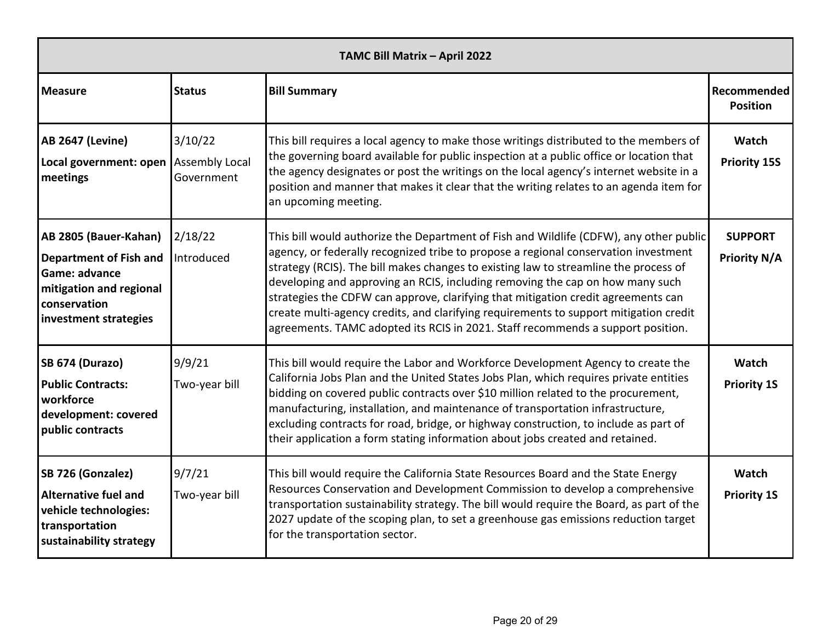| TAMC Bill Matrix - April 2022                                                                                                               |                         |                                                                                                                                                                                                                                                                                                                                                                                                                                                                                                                                                                                                                         |                                       |  |  |  |
|---------------------------------------------------------------------------------------------------------------------------------------------|-------------------------|-------------------------------------------------------------------------------------------------------------------------------------------------------------------------------------------------------------------------------------------------------------------------------------------------------------------------------------------------------------------------------------------------------------------------------------------------------------------------------------------------------------------------------------------------------------------------------------------------------------------------|---------------------------------------|--|--|--|
| <b>Measure</b>                                                                                                                              | <b>Status</b>           | <b>Bill Summary</b>                                                                                                                                                                                                                                                                                                                                                                                                                                                                                                                                                                                                     | Recommended<br><b>Position</b>        |  |  |  |
| <b>AB 2647 (Levine)</b><br>Local government: open Assembly Local<br>meetings                                                                | 3/10/22<br>Government   | This bill requires a local agency to make those writings distributed to the members of<br>the governing board available for public inspection at a public office or location that<br>the agency designates or post the writings on the local agency's internet website in a<br>position and manner that makes it clear that the writing relates to an agenda item for<br>an upcoming meeting.                                                                                                                                                                                                                           | Watch<br><b>Priority 15S</b>          |  |  |  |
| AB 2805 (Bauer-Kahan)<br><b>Department of Fish and</b><br>Game: advance<br>mitigation and regional<br>conservation<br>investment strategies | 2/18/22<br>Introduced   | This bill would authorize the Department of Fish and Wildlife (CDFW), any other public<br>agency, or federally recognized tribe to propose a regional conservation investment<br>strategy (RCIS). The bill makes changes to existing law to streamline the process of<br>developing and approving an RCIS, including removing the cap on how many such<br>strategies the CDFW can approve, clarifying that mitigation credit agreements can<br>create multi-agency credits, and clarifying requirements to support mitigation credit<br>agreements. TAMC adopted its RCIS in 2021. Staff recommends a support position. | <b>SUPPORT</b><br><b>Priority N/A</b> |  |  |  |
| SB 674 (Durazo)<br><b>Public Contracts:</b><br>workforce<br>development: covered<br>public contracts                                        | 9/9/21<br>Two-year bill | This bill would require the Labor and Workforce Development Agency to create the<br>California Jobs Plan and the United States Jobs Plan, which requires private entities<br>bidding on covered public contracts over \$10 million related to the procurement,<br>manufacturing, installation, and maintenance of transportation infrastructure,<br>excluding contracts for road, bridge, or highway construction, to include as part of<br>their application a form stating information about jobs created and retained.                                                                                               | Watch<br><b>Priority 1S</b>           |  |  |  |
| SB 726 (Gonzalez)<br><b>Alternative fuel and</b><br>vehicle technologies:<br>transportation<br>sustainability strategy                      | 9/7/21<br>Two-year bill | This bill would require the California State Resources Board and the State Energy<br>Resources Conservation and Development Commission to develop a comprehensive<br>transportation sustainability strategy. The bill would require the Board, as part of the<br>2027 update of the scoping plan, to set a greenhouse gas emissions reduction target<br>for the transportation sector.                                                                                                                                                                                                                                  | Watch<br><b>Priority 1S</b>           |  |  |  |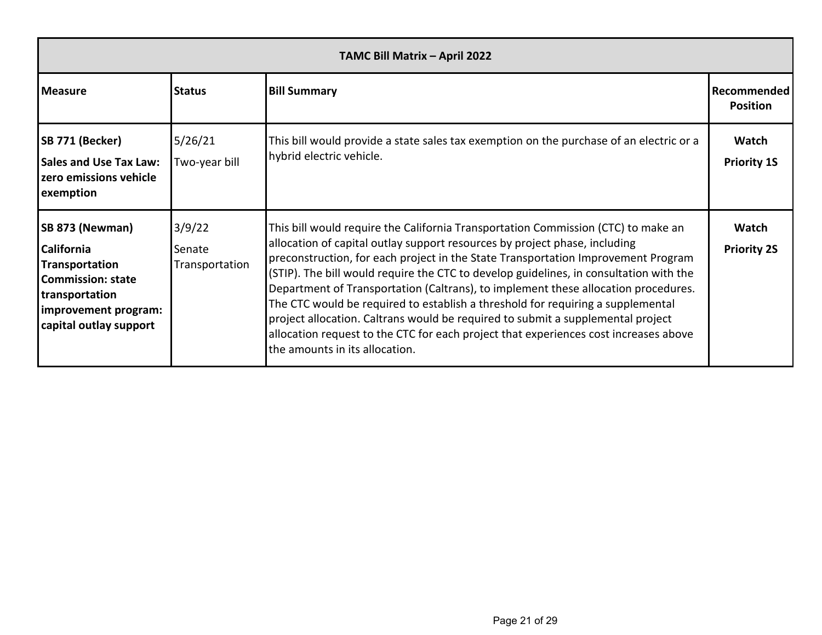| TAMC Bill Matrix - April 2022                                                                                                                   |                                    |                                                                                                                                                                                                                                                                                                                                                                                                                                                                                                                                                                                                                                                                                                                                      |                                |  |
|-------------------------------------------------------------------------------------------------------------------------------------------------|------------------------------------|--------------------------------------------------------------------------------------------------------------------------------------------------------------------------------------------------------------------------------------------------------------------------------------------------------------------------------------------------------------------------------------------------------------------------------------------------------------------------------------------------------------------------------------------------------------------------------------------------------------------------------------------------------------------------------------------------------------------------------------|--------------------------------|--|
| <b>Measure</b>                                                                                                                                  | <b>Status</b>                      | <b>Bill Summary</b>                                                                                                                                                                                                                                                                                                                                                                                                                                                                                                                                                                                                                                                                                                                  | Recommended<br><b>Position</b> |  |
| SB 771 (Becker)<br><b>Sales and Use Tax Law:</b><br>zero emissions vehicle<br>exemption                                                         | 5/26/21<br>Two-year bill           | This bill would provide a state sales tax exemption on the purchase of an electric or a<br>hybrid electric vehicle.                                                                                                                                                                                                                                                                                                                                                                                                                                                                                                                                                                                                                  | Watch<br><b>Priority 1S</b>    |  |
| SB 873 (Newman)<br>California<br>Transportation<br><b>Commission: state</b><br>transportation<br>improvement program:<br>capital outlay support | 3/9/22<br>Senate<br>Transportation | This bill would require the California Transportation Commission (CTC) to make an<br>allocation of capital outlay support resources by project phase, including<br>preconstruction, for each project in the State Transportation Improvement Program<br>(STIP). The bill would require the CTC to develop guidelines, in consultation with the<br>Department of Transportation (Caltrans), to implement these allocation procedures.<br>The CTC would be required to establish a threshold for requiring a supplemental<br>project allocation. Caltrans would be required to submit a supplemental project<br>allocation request to the CTC for each project that experiences cost increases above<br>the amounts in its allocation. | Watch<br><b>Priority 2S</b>    |  |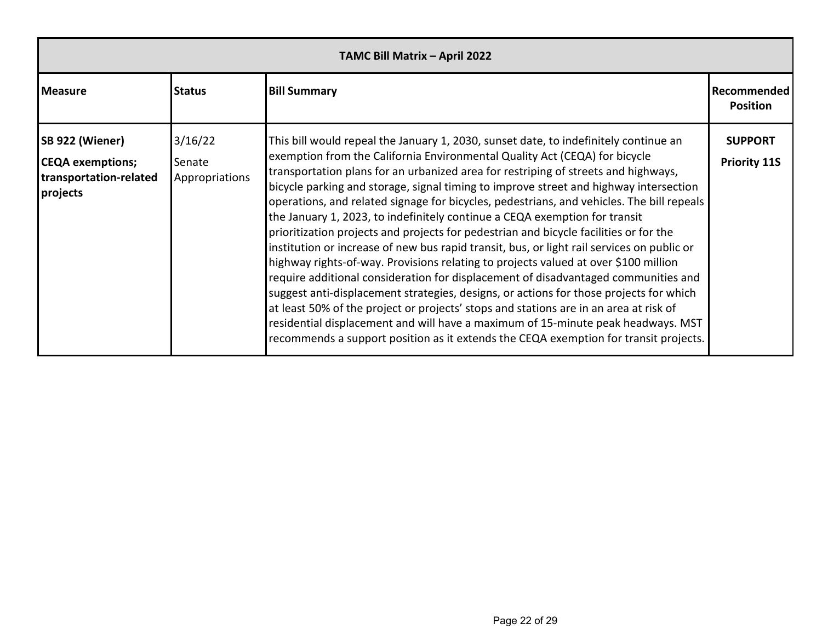| TAMC Bill Matrix - April 2022                                                    |                                     |                                                                                                                                                                                                                                                                                                                                                                                                                                                                                                                                                                                                                                                                                                                                                                                                                                                                                                                                                                                                                                                                                                                                                                                                                                                                 |                                       |  |
|----------------------------------------------------------------------------------|-------------------------------------|-----------------------------------------------------------------------------------------------------------------------------------------------------------------------------------------------------------------------------------------------------------------------------------------------------------------------------------------------------------------------------------------------------------------------------------------------------------------------------------------------------------------------------------------------------------------------------------------------------------------------------------------------------------------------------------------------------------------------------------------------------------------------------------------------------------------------------------------------------------------------------------------------------------------------------------------------------------------------------------------------------------------------------------------------------------------------------------------------------------------------------------------------------------------------------------------------------------------------------------------------------------------|---------------------------------------|--|
| <b>Measure</b>                                                                   | <b>Status</b>                       | <b>Bill Summary</b>                                                                                                                                                                                                                                                                                                                                                                                                                                                                                                                                                                                                                                                                                                                                                                                                                                                                                                                                                                                                                                                                                                                                                                                                                                             | Recommended<br><b>Position</b>        |  |
| SB 922 (Wiener)<br><b>CEQA</b> exemptions;<br>transportation-related<br>projects | 3/16/22<br>Senate<br>Appropriations | This bill would repeal the January 1, 2030, sunset date, to indefinitely continue an<br>exemption from the California Environmental Quality Act (CEQA) for bicycle<br>transportation plans for an urbanized area for restriping of streets and highways,<br>bicycle parking and storage, signal timing to improve street and highway intersection<br>operations, and related signage for bicycles, pedestrians, and vehicles. The bill repeals<br>the January 1, 2023, to indefinitely continue a CEQA exemption for transit<br>prioritization projects and projects for pedestrian and bicycle facilities or for the<br>institution or increase of new bus rapid transit, bus, or light rail services on public or<br>highway rights-of-way. Provisions relating to projects valued at over \$100 million<br>require additional consideration for displacement of disadvantaged communities and<br>suggest anti-displacement strategies, designs, or actions for those projects for which<br>at least 50% of the project or projects' stops and stations are in an area at risk of<br>residential displacement and will have a maximum of 15-minute peak headways. MST<br>recommends a support position as it extends the CEQA exemption for transit projects. | <b>SUPPORT</b><br><b>Priority 11S</b> |  |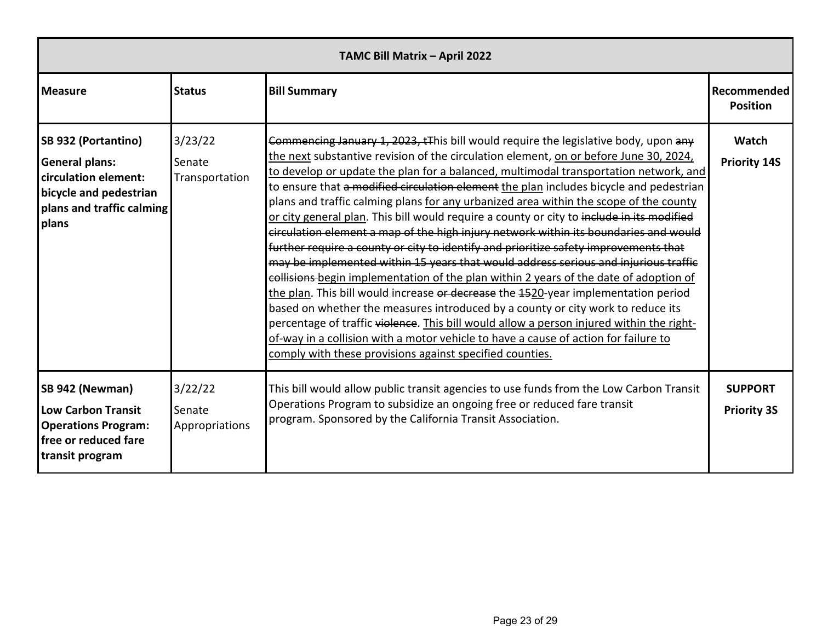| TAMC Bill Matrix - April 2022                                                                                                        |                                     |                                                                                                                                                                                                                                                                                                                                                                                                                                                                                                                                                                                                                                                                                                                                                                                                                                                                                                                                                                                                                                                                                                                                                                                                                                                                                                                                              |                                      |  |
|--------------------------------------------------------------------------------------------------------------------------------------|-------------------------------------|----------------------------------------------------------------------------------------------------------------------------------------------------------------------------------------------------------------------------------------------------------------------------------------------------------------------------------------------------------------------------------------------------------------------------------------------------------------------------------------------------------------------------------------------------------------------------------------------------------------------------------------------------------------------------------------------------------------------------------------------------------------------------------------------------------------------------------------------------------------------------------------------------------------------------------------------------------------------------------------------------------------------------------------------------------------------------------------------------------------------------------------------------------------------------------------------------------------------------------------------------------------------------------------------------------------------------------------------|--------------------------------------|--|
| <b>Measure</b>                                                                                                                       | <b>Status</b>                       | <b>Bill Summary</b>                                                                                                                                                                                                                                                                                                                                                                                                                                                                                                                                                                                                                                                                                                                                                                                                                                                                                                                                                                                                                                                                                                                                                                                                                                                                                                                          | Recommended<br><b>Position</b>       |  |
| SB 932 (Portantino)<br><b>General plans:</b><br>circulation element:<br>bicycle and pedestrian<br>plans and traffic calming<br>plans | 3/23/22<br>Senate<br>Transportation | Commencing January 1, 2023, tThis bill would require the legislative body, upon any<br>the next substantive revision of the circulation element, on or before June 30, 2024,<br>to develop or update the plan for a balanced, multimodal transportation network, and<br>to ensure that a modified circulation element the plan includes bicycle and pedestrian<br>plans and traffic calming plans for any urbanized area within the scope of the county<br>or city general plan. This bill would require a county or city to include in its modified<br>circulation element a map of the high injury network within its boundaries and would<br>further require a county or city to identify and prioritize safety improvements that<br>may be implemented within 15 years that would address serious and injurious traffic<br>collisions begin implementation of the plan within 2 years of the date of adoption of<br>the plan. This bill would increase or decrease the 4520-year implementation period<br>based on whether the measures introduced by a county or city work to reduce its<br>percentage of traffic violence. This bill would allow a person injured within the right-<br>of-way in a collision with a motor vehicle to have a cause of action for failure to<br>comply with these provisions against specified counties. | Watch<br><b>Priority 14S</b>         |  |
| SB 942 (Newman)<br><b>Low Carbon Transit</b><br><b>Operations Program:</b><br>free or reduced fare<br>transit program                | 3/22/22<br>Senate<br>Appropriations | This bill would allow public transit agencies to use funds from the Low Carbon Transit<br>Operations Program to subsidize an ongoing free or reduced fare transit<br>program. Sponsored by the California Transit Association.                                                                                                                                                                                                                                                                                                                                                                                                                                                                                                                                                                                                                                                                                                                                                                                                                                                                                                                                                                                                                                                                                                               | <b>SUPPORT</b><br><b>Priority 3S</b> |  |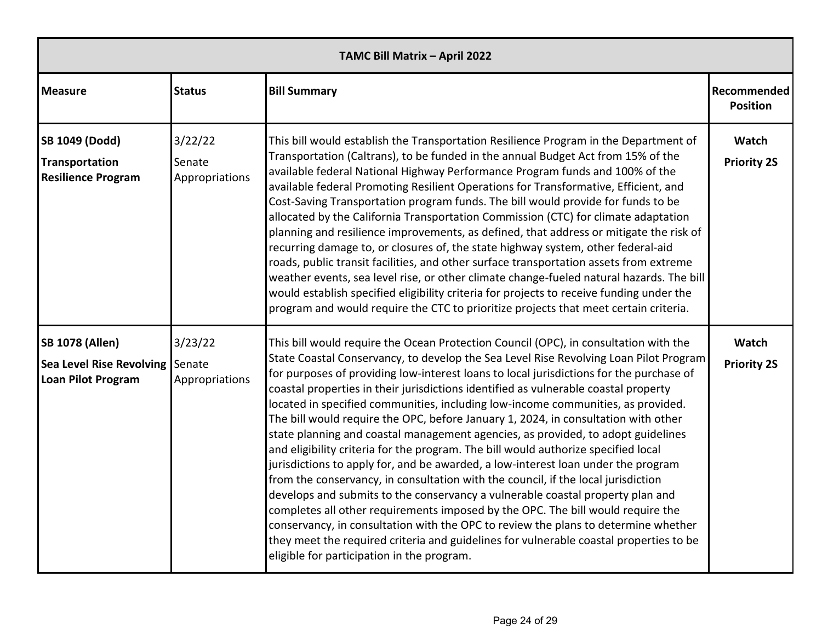| TAMC Bill Matrix - April 2022                                                          |                                     |                                                                                                                                                                                                                                                                                                                                                                                                                                                                                                                                                                                                                                                                                                                                                                                                                                                                                                                                                                                                                                                                                                                                                                                                                                                                                                  |                                |  |
|----------------------------------------------------------------------------------------|-------------------------------------|--------------------------------------------------------------------------------------------------------------------------------------------------------------------------------------------------------------------------------------------------------------------------------------------------------------------------------------------------------------------------------------------------------------------------------------------------------------------------------------------------------------------------------------------------------------------------------------------------------------------------------------------------------------------------------------------------------------------------------------------------------------------------------------------------------------------------------------------------------------------------------------------------------------------------------------------------------------------------------------------------------------------------------------------------------------------------------------------------------------------------------------------------------------------------------------------------------------------------------------------------------------------------------------------------|--------------------------------|--|
| <b>Measure</b>                                                                         | <b>Status</b>                       | <b>Bill Summary</b>                                                                                                                                                                                                                                                                                                                                                                                                                                                                                                                                                                                                                                                                                                                                                                                                                                                                                                                                                                                                                                                                                                                                                                                                                                                                              | Recommended<br><b>Position</b> |  |
| <b>SB 1049 (Dodd)</b><br>Transportation<br><b>Resilience Program</b>                   | 3/22/22<br>Senate<br>Appropriations | This bill would establish the Transportation Resilience Program in the Department of<br>Transportation (Caltrans), to be funded in the annual Budget Act from 15% of the<br>available federal National Highway Performance Program funds and 100% of the<br>available federal Promoting Resilient Operations for Transformative, Efficient, and<br>Cost-Saving Transportation program funds. The bill would provide for funds to be<br>allocated by the California Transportation Commission (CTC) for climate adaptation<br>planning and resilience improvements, as defined, that address or mitigate the risk of<br>recurring damage to, or closures of, the state highway system, other federal-aid<br>roads, public transit facilities, and other surface transportation assets from extreme<br>weather events, sea level rise, or other climate change-fueled natural hazards. The bill<br>would establish specified eligibility criteria for projects to receive funding under the<br>program and would require the CTC to prioritize projects that meet certain criteria.                                                                                                                                                                                                                | Watch<br><b>Priority 2S</b>    |  |
| <b>SB 1078 (Allen)</b><br>Sea Level Rise Revolving Senate<br><b>Loan Pilot Program</b> | 3/23/22<br>Appropriations           | This bill would require the Ocean Protection Council (OPC), in consultation with the<br>State Coastal Conservancy, to develop the Sea Level Rise Revolving Loan Pilot Program<br>for purposes of providing low-interest loans to local jurisdictions for the purchase of<br>coastal properties in their jurisdictions identified as vulnerable coastal property<br>located in specified communities, including low-income communities, as provided.<br>The bill would require the OPC, before January 1, 2024, in consultation with other<br>state planning and coastal management agencies, as provided, to adopt guidelines<br>and eligibility criteria for the program. The bill would authorize specified local<br>jurisdictions to apply for, and be awarded, a low-interest loan under the program<br>from the conservancy, in consultation with the council, if the local jurisdiction<br>develops and submits to the conservancy a vulnerable coastal property plan and<br>completes all other requirements imposed by the OPC. The bill would require the<br>conservancy, in consultation with the OPC to review the plans to determine whether<br>they meet the required criteria and guidelines for vulnerable coastal properties to be<br>eligible for participation in the program. | Watch<br><b>Priority 2S</b>    |  |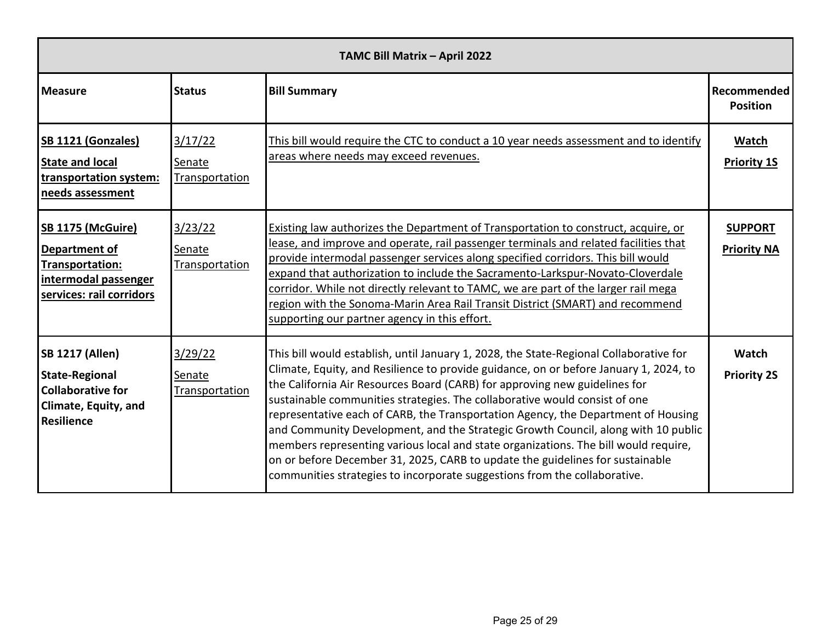| TAMC Bill Matrix - April 2022                                                                                            |                                            |                                                                                                                                                                                                                                                                                                                                                                                                                                                                                                                                                                                                                                                                                                                                                                            |                                       |  |
|--------------------------------------------------------------------------------------------------------------------------|--------------------------------------------|----------------------------------------------------------------------------------------------------------------------------------------------------------------------------------------------------------------------------------------------------------------------------------------------------------------------------------------------------------------------------------------------------------------------------------------------------------------------------------------------------------------------------------------------------------------------------------------------------------------------------------------------------------------------------------------------------------------------------------------------------------------------------|---------------------------------------|--|
| <b>Measure</b>                                                                                                           | <b>Status</b>                              | <b>Bill Summary</b>                                                                                                                                                                                                                                                                                                                                                                                                                                                                                                                                                                                                                                                                                                                                                        | <b>Recommended</b><br><b>Position</b> |  |
| <b>SB 1121 (Gonzales)</b><br><b>State and local</b><br>transportation system:<br>needs assessment                        | 3/17/22<br>Senate<br><b>Transportation</b> | This bill would require the CTC to conduct a 10 year needs assessment and to identify<br>areas where needs may exceed revenues.                                                                                                                                                                                                                                                                                                                                                                                                                                                                                                                                                                                                                                            | Watch<br><b>Priority 1S</b>           |  |
| <b>SB 1175 (McGuire)</b><br>Department of<br>Transportation:<br>intermodal passenger<br>services: rail corridors         | 3/23/22<br><b>Senate</b><br>Transportation | Existing law authorizes the Department of Transportation to construct, acquire, or<br>lease, and improve and operate, rail passenger terminals and related facilities that<br>provide intermodal passenger services along specified corridors. This bill would<br>expand that authorization to include the Sacramento-Larkspur-Novato-Cloverdale<br>corridor. While not directly relevant to TAMC, we are part of the larger rail mega<br>region with the Sonoma-Marin Area Rail Transit District (SMART) and recommend<br>supporting our partner agency in this effort.                                                                                                                                                                                                   | <b>SUPPORT</b><br><b>Priority NA</b>  |  |
| <b>SB 1217 (Allen)</b><br><b>State-Regional</b><br><b>Collaborative for</b><br><b>Climate, Equity, and</b><br>Resilience | 3/29/22<br>Senate<br>Transportation        | This bill would establish, until January 1, 2028, the State-Regional Collaborative for<br>Climate, Equity, and Resilience to provide guidance, on or before January 1, 2024, to<br>the California Air Resources Board (CARB) for approving new guidelines for<br>sustainable communities strategies. The collaborative would consist of one<br>representative each of CARB, the Transportation Agency, the Department of Housing<br>and Community Development, and the Strategic Growth Council, along with 10 public<br>members representing various local and state organizations. The bill would require,<br>on or before December 31, 2025, CARB to update the guidelines for sustainable<br>communities strategies to incorporate suggestions from the collaborative. | Watch<br><b>Priority 2S</b>           |  |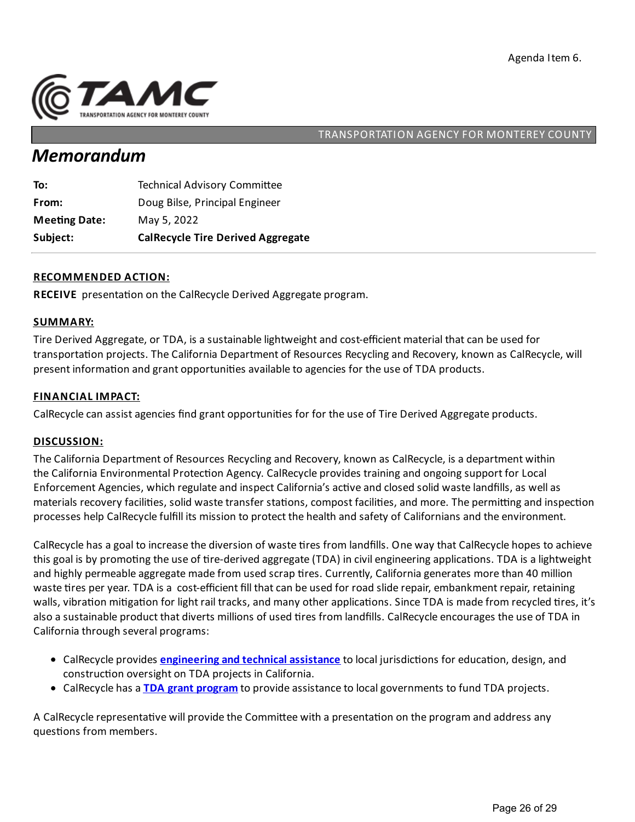

# *Memorandum*

| Subject:             | <b>CalRecycle Tire Derived Aggregate</b> |
|----------------------|------------------------------------------|
| <b>Meeting Date:</b> | May 5, 2022                              |
| From:                | Doug Bilse, Principal Engineer           |
| To:                  | <b>Technical Advisory Committee</b>      |

### **RECOMMENDED ACTION:**

RECEIVE presentation on the CalRecycle Derived Aggregate program.

### **SUMMARY:**

Tire Derived Aggregate, or TDA, is a sustainable lightweight and cost-efficient material that can be used for transportation projects. The California Department of Resources Recycling and Recovery, known as CalRecycle, will present information and grant opportunities available to agencies for the use of TDA products.

### **FINANCIAL IMPACT:**

CalRecycle can assist agencies find grant opportunities for for the use of Tire Derived Aggregate products.

#### **DISCUSSION:**

The California Department of Resources Recyclingand Recovery, known as CalRecycle, is a department within the California Environmental Protection Agency. CalRecycle provides training and ongoing support for Local Enforcement Agencies, which regulate and inspect California's active and closed solid waste landfills, as well as materials recovery facilities, solid waste transfer stations, compost facilities, and more. The permitting and inspection processes help CalRecycle fulfill its mission to protect the health and safety of Californians and the environment.

CalRecycle has a goal to increase the diversion of waste tires from landfills. One way that CalRecycle hopes to achieve this goal is by promoting the use of tire-derived aggregate (TDA) in civil engineering applications. TDA is a lightweight and highly permeable aggregate made from used scrap tires. Currently, California generates more than 40 million waste tires per year. TDA is a cost-efficient fill that can be used for road slide repair, embankment repair, retaining walls, vibration mitigation for light rail tracks, and many other applications. Since TDA is made from recycled tires, it's also a sustainable product that diverts millions of used tires from landfills. CalRecycle encourages the use of TDA in California through several programs:

- CalRecycle provides **[engineering](https://calrecycle.ca.gov/Tires/TDA/Contacts/) and technical assistance** to local jurisdictions for education, design, and construction oversight on TDA projects in California.
- CalRecycle has a **TDA grant [program](https://calrecycle.ca.gov/Tires/Grants/TDA/)**to provide assistance to localgovernments to fund TDA projects.

A CalRecycle representative will provide the Committee with a presentation on the program and address any questions from members.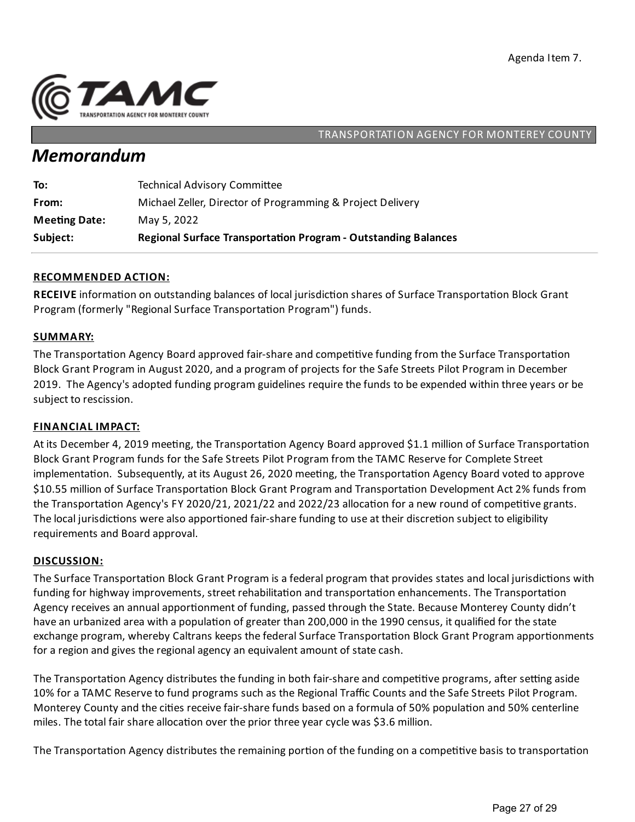

# *Memorandum*

| Subject:             | <b>Regional Surface Transportation Program - Outstanding Balances</b> |
|----------------------|-----------------------------------------------------------------------|
| <b>Meeting Date:</b> | May 5, 2022                                                           |
| From:                | Michael Zeller, Director of Programming & Project Delivery            |
| To:                  | <b>Technical Advisory Committee</b>                                   |

### **RECOMMENDED ACTION:**

RECEIVE information on outstanding balances of local jurisdiction shares of Surface Transportation Block Grant Program (formerly "Regional Surface Transportation Program") funds.

### **SUMMARY:**

The Transportation Agency Board approved fair-share and competitive funding from the Surface Transportation Block Grant Program in August 2020, and a program of projects for the Safe Streets Pilot Program in December 2019. The Agency's adopted funding program guidelines require the funds to be expended within three years or be subject to rescission.

### **FINANCIAL IMPACT:**

At its December 4, 2019 meeting, the Transportation Agency Board approved \$1.1 million of Surface Transportation Block Grant Program funds for the Safe Streets Pilot Program from the TAMC Reserve for Complete Street implementation. Subsequently, at its August 26, 2020 meeting, the Transportation Agency Board voted to approve \$10.55 million of Surface Transportation Block Grant Program and Transportation Development Act 2% funds from the Transportation Agency's FY 2020/21, 2021/22 and 2022/23 allocation for a new round of competitive grants. The local jurisdictions were also apportioned fair-share funding to use at their discretion subject to eligibility requirements and Board approval.

### **DISCUSSION:**

The Surface Transportation Block Grant Program is a federal program that provides states and local jurisdictions with funding for highway improvements, street rehabilitation and transportation enhancements. The Transportation Agency receives an annual apportionment of funding, passed through the State. Because Monterey County didn't have an urbanized area with a population of greater than 200,000 in the 1990 census, it qualified for the state exchange program, whereby Caltrans keeps the federal Surface Transportation Block Grant Program apportionments for a region and gives the regional agency an equivalent amount of state cash.

The Transportation Agency distributes the funding in both fair-share and competitive programs, after setting aside 10% for aTAMC Reserve to fund programs such as the RegionalTraffic Counts and the Safe Streets Pilot Program. Monterey County and the cities receive fair-share funds based on a formula of 50% population and 50% centerline miles. The total fair share allocation over the prior three year cycle was \$3.6 million.

The Transportation Agency distributes the remaining portion of the funding on a competitive basis to transportation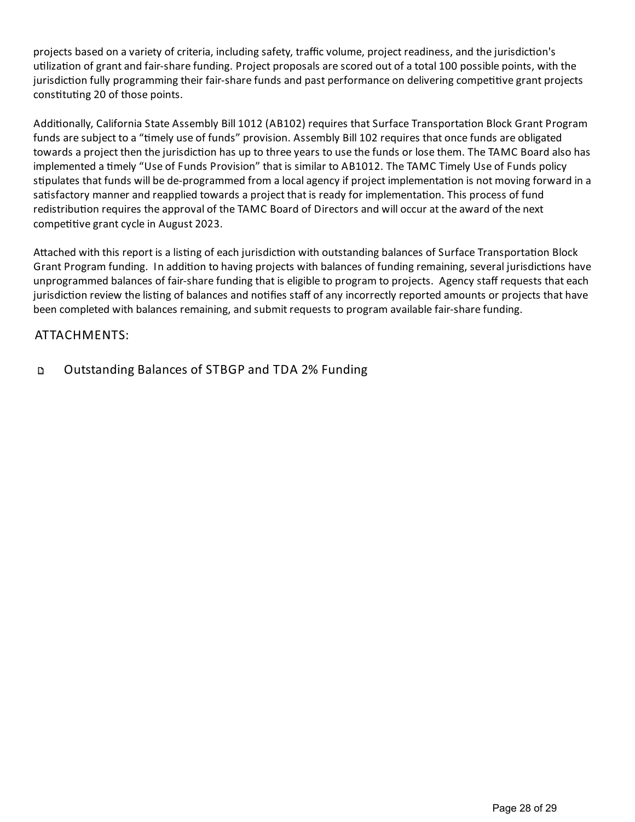projects based on a variety of criteria, including safety, traffic volume, project readiness, and the jurisdiction's utilization of grant and fair-share funding. Project proposals are scored out of a total 100 possible points, with the jurisdiction fully programming their fair-share funds and past performance on delivering competitive grant projects constituting 20 of those points.

Additionally, California State Assembly Bill 1012 (AB102) requires that Surface Transportation Block Grant Program funds are subject to a "timely use of funds" provision. Assembly Bill 102 requires that once funds are obligated towards a project then the jurisdiction has up to three years to use the funds or lose them. The TAMC Board also has implemented a timely "Use of Funds Provision" that is similar to AB1012. The TAMC Timely Use of Funds policy stipulates that funds will be de-programmed from a local agency if project implementation is not moving forward in a satisfactory manner and reapplied towards a project that is ready for implementation. This process of fund redistribution requires the approval of the TAMC Board of Directors and will occur at the award of the next competitive grant cycle in August 2023.

Attached with this report is a listing of each jurisdiction with outstanding balances of Surface Transportation Block Grant Program funding. In addition to having projects with balances of funding remaining, several jurisdictions have unprogrammed balances of fair-share funding that is eligible to program to projects. Agency staff requests that each jurisdiction review the listing of balances and notifies staff of any incorrectly reported amounts or projects that have been completed with balances remaining, and submit requests to program available fair-share funding.

# ATTACHMENTS:

 $\Box$ Outstanding Balances of STBGP and TDA 2% Funding